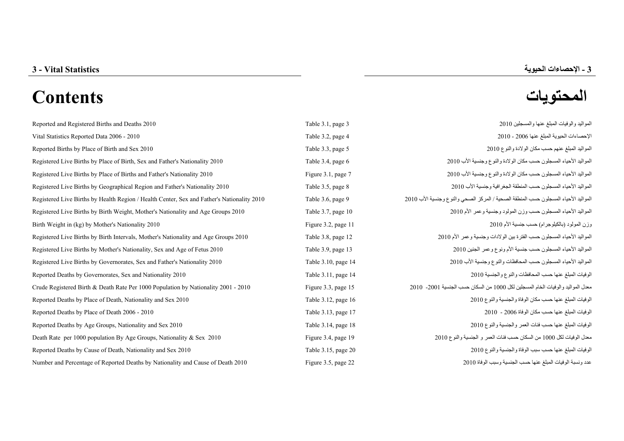# **المحتويات Contents**

| Reported and Registered Births and Deaths 2010                                             | Table 3.1, page 3   | المواليد والوفيات المبلغ عنها والمسجلين 2010                                        |
|--------------------------------------------------------------------------------------------|---------------------|-------------------------------------------------------------------------------------|
| Vital Statistics Reported Data 2006 - 2010                                                 | Table 3.2, page 4   | الإحصاءات الحيوية المبلغ عنها 2006 - 2010                                           |
| Reported Births by Place of Birth and Sex 2010                                             | Table 3.3, page 5   | المواليد المبلغ عنهم حسب مكان الولادة والنوع 2010                                   |
| Registered Live Births by Place of Birth, Sex and Father's Nationality 2010                | Table 3.4, page 6   | المواليد الأحياء المسجلون حسب مكان الولادة والنوع وجنسية الأب 2010                  |
| Registered Live Births by Place of Births and Father's Nationality 2010                    | Figure 3.1, page 7  | المواليد الأحياء المسجلون حسب مكان الولادة والنوع وجنسية الأب 2010                  |
| Registered Live Births by Geographical Region and Father's Nationality 2010                | Table 3.5, page 8   | المواليد الأحياء المسجلون حسب المنطقة الجغرافية وجنسية الأب 2010                    |
| Registered Live Births by Health Region / Health Center, Sex and Father's Nationality 2010 | Table 3.6, page 9   | المواليد الأحياء المسجلون حسب المنطقة الصحية / المركز الصحى والنوع وجنسية الأب 2010 |
| Registered Live Births by Birth Weight, Mother's Nationality and Age Groups 2010           | Table 3.7, page 10  | المواليد الأحياء المسجلون حسب وزن المولود وجنسية وعمر الأم 2010                     |
| Birth Weight in (kg) by Mother's Nationality 2010                                          | Figure 3.2, page 11 | وزن المولود (بالكيلوجرام) حسب جنسية الأم 2010                                       |
| Registered Live Births by Birth Intervals, Mother's Nationality and Age Groups 2010        | Table 3.8, page 12  | المواليد الأحياء المسجلون حسب الفترة بين الولادات وجنسية وعمر الأم 2010             |
| Registered Live Births by Mother's Nationality, Sex and Age of Fetus 2010                  | Table 3.9, page 13  | المواليد الأحياء المسجلون حسب جنسية الأم ونوع وعمر الجنين 2010                      |
| Registered Live Births by Governorates, Sex and Father's Nationality 2010                  | Table 3.10, page 14 | المواليد الأحياء المسجلون حسب المحافظات والنوع وجنسية الأب 2010                     |
| Reported Deaths by Governorates, Sex and Nationality 2010                                  | Table 3.11, page 14 | الوفيات المبلغ عنها حسب المحافظات والنوع والجنسية 2010                              |
| Crude Registered Birth & Death Rate Per 1000 Population by Nationality 2001 - 2010         | Figure 3.3, page 15 | معدل المواليد والوفيات الخام المسجلين لكل 1000 من السكان حسب الجنسية 2001- 2010     |
| Reported Deaths by Place of Death, Nationality and Sex 2010                                | Table 3.12, page 16 | الوفيات المبلغ عنها حسب مكان الوفاة والجنسية والنوع 2010                            |
| Reported Deaths by Place of Death 2006 - 2010                                              | Table 3.13, page 17 | الوفيات المبلغ عنها حسب مكان الوفاة 2006 - 2010                                     |
| Reported Deaths by Age Groups, Nationality and Sex 2010                                    | Table 3.14, page 18 | الوفيات المبلغ عنها حسب فئات العمر والجنسية والنوع 2010                             |
| Death Rate per 1000 population By Age Groups, Nationality & Sex 2010                       | Figure 3.4, page 19 | معدل الوفيات لكل 1000 من السكان حسب فئات العمر و الجنسية والنوع 2010                |
| Reported Deaths by Cause of Death, Nationality and Sex 2010                                | Table 3.15, page 20 | الوفيات المبلغ عنها حسب سبب الوفاة والجنسية والنوع 2010                             |
| Number and Percentage of Reported Deaths by Nationality and Cause of Death 2010            | Figure 3.5, page 22 | عدد ونسبة الوفيات المبلغ عنها حسب الجنسية وسبب الوفاة 2010                          |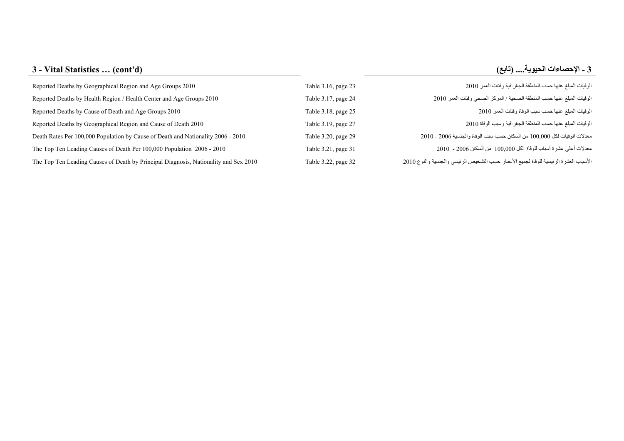| 3 - Vital Statistics  (cont'd) | : ـ الإحصاءات الحيوية (تابع) |
|--------------------------------|------------------------------|
|                                |                              |

| Reported Deaths by Geographical Region and Age Groups 2010                           | Table 3.16, page 23 | الوفيات المبلغ عنها حسب المنطقة الجغرافية وفئات العمر 2010                            |
|--------------------------------------------------------------------------------------|---------------------|---------------------------------------------------------------------------------------|
| Reported Deaths by Health Region / Health Center and Age Groups 2010                 | Table 3.17, page 24 | الوفيات المبلغ عنها حسب المنطقة الصحية / المركز الصحي وفئات العمر 2010                |
| Reported Deaths by Cause of Death and Age Groups 2010                                | Table 3.18, page 25 | الوفيات المبلغ عنها حسب سبب الوفاة وفئات العمر 2010                                   |
| Reported Deaths by Geographical Region and Cause of Death 2010                       | Table 3.19, page 27 | الو فيات المبلغ عنها حسب المنطقة الجغر افية وسبب الو فاة 2010                         |
| Death Rates Per 100,000 Population by Cause of Death and Nationality 2006 - 2010     | Table 3.20, page 29 | معدلات الوفيات لكل 100,000 من السكان حسب سبب الوفاة والجنسية 2006 - 2010              |
| The Top Ten Leading Causes of Death Per 100,000 Population 2006 - 2010               | Table 3.21, page 31 | معدلات أعلى عشرة أسباب للوفاة لكل 100,000 من السكان 2006 - 2010                       |
| The Top Ten Leading Causes of Death by Principal Diagnosis, Nationality and Sex 2010 | Table 3.22, page 32 | الأسباب العشرة الرئيسية للوفاة لجميع الأعمار حسب التشخيص الرئيسي والجنسية والنوع 2010 |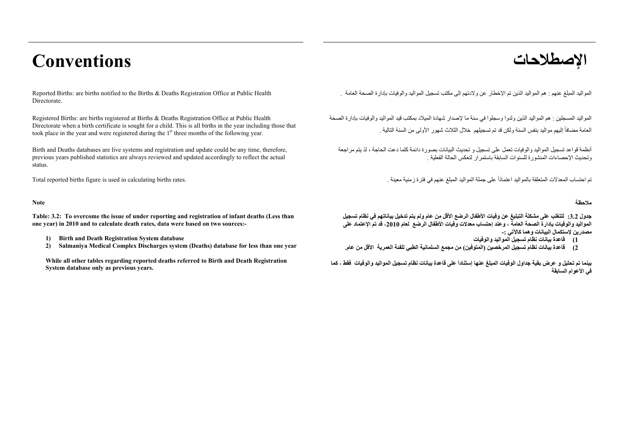# **اإلصطالحات Conventions**

Reported Births: are births notified to the Births & Deaths Registration Office at Public Health Directorate.

Registered Births: are births registered at Births & Deaths Registration Office at Public Health Directorate when a birth certificate is sought for a child. This is all births in the year including those that took place in the year and were registered during the  $1<sup>st</sup>$  three months of the following year.

Birth and Deaths databases are live systems and registration and update could be any time, therefore, previous years published statistics are always reviewed and updated accordingly to reflect the actual status.

**Table: 3.2: To overcome the issue of under reporting and registration of infant deaths (Less than one year) in 2010 and to calculate death rates, data were based on two sources:-** 

- **1) Birth and Death Registration System database**
- **2) Salmaniya Medical Complex Discharges system (Deaths) database for less than one year**

**While all other tables regarding reported deaths referred to Birth and Death Registration System database only as previous years.** 

. المواليد المبلغ عنھم : ھم المواليد الذين تم اإلخطار عن والدتھم إلى مكتب تسجيل المواليد والوفيات بإدارة الصحة العامة

المواليد المسجلين : ھم المواليد الذين ولدوا وسجلوا في سنة ما إلصدار شھادة الميالد بمكتب قيد المواليد والوفيات بإدارة الصحة العامة مضافاً إليهم مواليد بنفس السنة ولكن قد تم تسجيلهم خلال الثلاث شهور الأولمي من السنة التالية .

أنظمة قواعد تسجيل المواليد والوفيات تعمل على تسجيل <sup>و</sup> تحديث البيانات بصورة دائمة كلما دعت الحاجة ، لذ يتم مراجعة وتحديث اإلحصاءات المنشورة للسنوات السابقة باستمرار لتعكس الحالة الفعلية .

تم احتساب المعدلات المتعلقة بالمواليد اعتمادًا على جملة المواليد المبلغ عنهم في فترة زمنية معينة . . . . . . .<br>تم احتساب المعدلات المتعلقة بالمواليد اعتمادًا على جملة المواليد المبلغ عنهم في فترة زمنية معينة .

#### **مالحظة Note**

جدول 3.2: للتغلب على مشكلة التبليغ عن وفيات الأطفال الرضع الأقل من عام ولم يتم تدخيل بياناتهم في نظام تسجيل المواليد والوفيات بإدارة الصحة العامة ، و عند احتساب معدلات وفيات الأطفال الرضع لعام (2010، قد تم الاعتماد على **مصدرين إلستكمال البيانات وھما كاآلتي -:**

- **1) قاعدة بيانات نظام تسجيل المواليد والوفيات**
- 2) قاعدة بيانات نظام تسجيل المر خصين (المتوفين) من مجمع السلمانية الطبي للفئة العمرية الأقل من عام

بينما تم تحليل و عرض بِقية جداول الوفيات المبلغ عنها إستناداَ على قاعدة بيانات نظام تسجيل المواليد والوفيات فقط ، كما **في األعوام السابقة**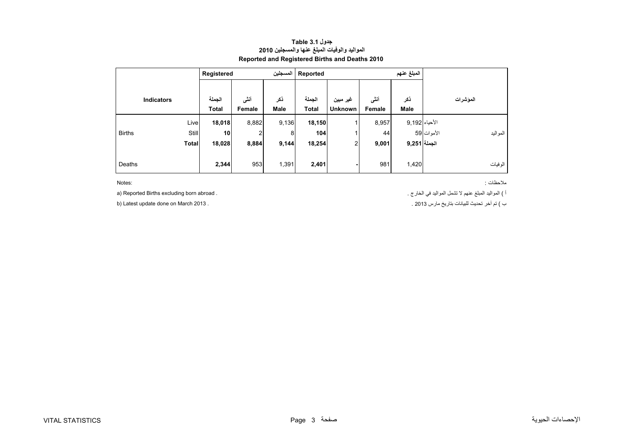#### **جدول 3.1 Table المواليد والوفيات المبلغ عنھا والمسجلين <sup>2010</sup> Reported and Registered Births and Deaths 2010**

<span id="page-3-0"></span>

|               |                   | Registered             |                | المسجلين           | Reported               |                            |                |               |            |          |
|---------------|-------------------|------------------------|----------------|--------------------|------------------------|----------------------------|----------------|---------------|------------|----------|
|               | <b>Indicators</b> | الجملة<br><b>Total</b> | أنشى<br>Female | ذكر<br><b>Male</b> | الجملة<br><b>Total</b> | غير مبين<br><b>Unknown</b> | أنشى<br>Female | ذكر<br>Male   |            | المؤشرات |
|               | Live              | 18,018                 | 8,882          | 9,136              | 18,150                 |                            | 8,957          | الأحياء 9,192 |            |          |
| <b>Births</b> | Still             | 10                     | 2              | 8                  | 104                    |                            | 44             |               | الأموات 59 | المواليد |
|               | <b>Total</b>      | 18,028                 | 8,884          | 9,144              | 18,254                 | 2                          | 9,001          | الجملة 9,251  |            |          |
|               |                   |                        |                |                    |                        |                            |                |               |            |          |
| Deaths        |                   | 2,344                  | 953            | 1,391              | 2,401                  |                            | 981            | 1,420         |            | الوفيات  |

Notes:

مالحظات : :Notes

<sup>أ</sup> ) المواليد المبلغ عنھم ال تشمل المواليد في الخارج . . abroad born excluding Births Reported) a

<sup>ب</sup> ) تم آخر تحديث للبيانات بتاريخ مارس 2013 . . 2013 March on done update Latest) b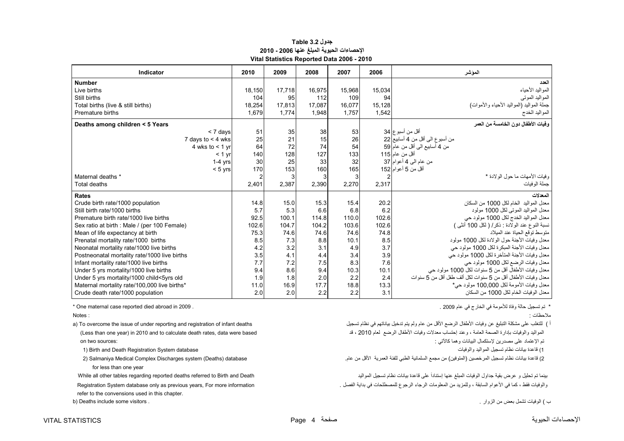#### **جدول 3.2 Table اإلحصاءات الحيوية المبلغ عنھا 2006 - 2010 Vital Statistics Reported Data 2006 - 2010**

<span id="page-4-0"></span>

| Indicator                                    | 2010   | 2009   | 2008   | 2007   | 2006   | الموشر                                                       |
|----------------------------------------------|--------|--------|--------|--------|--------|--------------------------------------------------------------|
| <b>Number</b>                                |        |        |        |        |        | العدد                                                        |
| Live births                                  | 18.150 | 17.718 | 16.975 | 15,968 | 15,034 | المواليد الأحياء                                             |
| Still births                                 | 104    | 95     | 112    | 109    | 94     | المواليد الموتبي                                             |
| Total births (live & still births)           | 18,254 | 17,813 | 17.087 | 16,077 | 15.128 | جملة المواليد (المواليد الأحياء والأموات)                    |
| Premature births                             | 1.679  | 1.774  | 1,948  | 1.757  | 1,542  | المواليد الخدج                                               |
| Deaths among children < 5 Years              |        |        |        |        |        | و فيات الأطفال دو ن الخامسة من العمر                         |
| < 7 days                                     | 51     | 35     | 38     | 53     |        | أقل من أسبو ع 34                                             |
| 7 days to $<$ 4 wks                          | 25     | 21     | 15     | 26     |        | من أسبوع الى أقل من 4 أسابيع 22                              |
| 4 wks to $<$ 1 yr                            | 64     | 72     | 74     | 54     |        | من 4 أسابيع الى أقل من عام 59                                |
| $< 1$ yr                                     | 140    | 128    | 127    | 133    |        | أقل من عام 115                                               |
| $1-4$ yrs                                    | 30     | 25     | 33     | 32     |        | من عام الى 4 أعوام 37                                        |
| $< 5$ yrs                                    | 170    | 153    | 160    | 165    |        | أقل من 5 أعو ام 152                                          |
| Maternal deaths *                            |        | 3      | 3      |        |        | وفيات الأمهات ما حول الو لادة *                              |
| <b>Total deaths</b>                          | 2,401  | 2,387  | 2,390  | 2,270  | 2,317  | جملة الو فيات                                                |
| <b>Rates</b>                                 |        |        |        |        |        | المعدلات                                                     |
| Crude birth rate/1000 population             | 14.8   | 15.0   | 15.3   | 15.4   | 20.2   | معدل المواليد الخام لكل 1000 من السكان                       |
| Still birth rate/1000 births                 | 5.7    | 5.3    | 6.6    | 6.8    | 6.2    | معدل المواليد الموتى لكل 1000 مولود                          |
| Premature birth rate/1000 live births        | 92.5   | 100.1  | 114.8  | 110.0  | 102.6  | معدل المواليد الخدج لكل 1000 مولود حي                        |
| Sex ratio at birth : Male / (per 100 Female) | 102.6  | 104.7  | 104.2  | 103.6  | 102.6  | نسبة النوع عند الولادة : ذكر/ ( لكل 100 أنثى )               |
| Mean of life expectancy at birth             | 75.3   | 74.6   | 74.6   | 74.6   | 74.8   | منوسط نوقع الحياة عند الميلاد                                |
| Prenatal mortality rate/1000 births          | 8.5    | 7.3    | 8.8    | 10.1   | 8.5    | معدل وفيات الأجنة حول الولادة لكل 1000 مولود                 |
| Neonatal mortality rate/1000 live births     | 4.2    | 3.2    | 3.1    | 4.9    | 3.7    | معدل وفيات الأجنة المبكرة لكل 1000 مولود حي                  |
| Postneonatal mortality rate/1000 live births | 3.5    | 4.1    | 4.4    | 3.4    | 3.9    | معدل وفيات الأجنة المتأخرة لكل 1000 مولود حي                 |
| Infant mortality rate/1000 live births       | 7.7    | 7.2    | 7.5    | 8.3    | 7.6    | معدل وفيات الرضع لكل 1000 مولود حي                           |
| Under 5 yrs mortality/1000 live births       | 9.4    | 8.6    | 9.4    | 10.3   | 10.1   | معدل وفيات الأطفال أقل من 5 سنوات لكل 1000 مولود حي          |
| Under 5 yrs mortality/1000 child<5yrs old    | 1.9    | 1.8    | 2.0    | 2.2    | 2.4    | معدل وفيات الأطفال أقل من 5 سنوات لكل ألف طفل أقل من 5 سنوات |
| Maternal mortality rate/100,000 live births* | 11.0   | 16.9   | 17.7   | 18.8   | 13.3   | معدل وفيات الأمومة لكل 100,000 مولود حي*                     |
| Crude death rate/1000 population             | 2.0    | 2.0    | 2.2    | 2.2    | 3.1    | معدل الوفيات الخام لكل 1000 من السكان                        |

مالحظات : : Notes

أ ) للتغلب على مشكلة التبليغ عن وفيات الأطفال الرضع الأقل من عام ولم يتم تدخيل بياناتهم في نظام تسجيل صلحت الت المواليد والوفيات بإدارة الصحة العامة ، وعند إحتساب معدلات وفيات الأطفال الرضع لعام 2010 ، قد based were based وman one year) in 2010 and to calculate death rates, data were based ، قد احتساب معدلات وفيات الأطفال الرضع لع

2) قاعدة بيانات نظام تسجيل المرخصين (المتوفين) من مجمع السلمانية الطبي للفئة العمرية الأقل من عام. هن المتعاقل المتوفي الألقل من عام. هن المسلمانية الطبي للفئة العمرية الأقل من عام. هن المسلمانية الطبي للفئة العمرية الأقل

بينما تم تحليل <sup>و</sup> عرض بقية جداول الوفيات المبلغ عنھا إستناداَ على قاعدة بيانات نظام تسجيل المواليد Death and Birth to referred deaths reported regarding tables other all While .<br>والوفيات فقط ، كما في الأعوام السابقة ، وللمزيد من المعلومات الرجوع للمصطلحات في بداية الفصل . Registration System database only as previous years, For more information

ب ) الوفيات تشمل بعض من الز وار

\* تم تسجيل حالة وفاة لألمومة في الخارج في عام 2009 . . 2009 in abroad died reported case maternal One\*

Notes:

تم اإلعتماد على مصدرين إلستكمال البيانات وھما كاآلتي : :sources two on

1) قاعدة بيانات نظام تسجيل المواليد والوفيات هي المسجيل المواليد والوفيات المسجيل المواليد والوفيات المسجيل ال

for less than one year

refer to the convensions used in this chapter.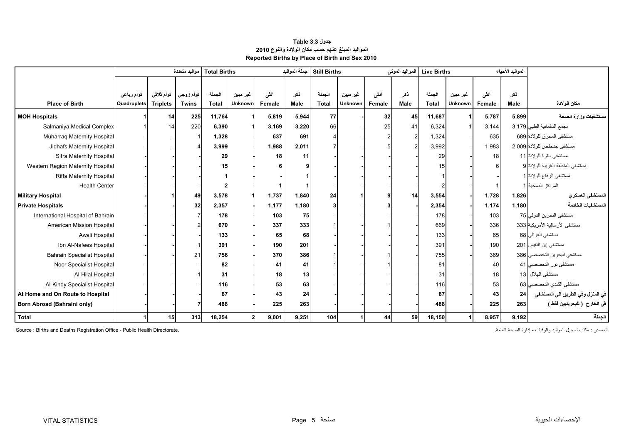| جدول 3.3 Table                                    |
|---------------------------------------------------|
| المواليد المبلغ عنهم حسب مكان الولادة والنوع 2010 |
| Reported Births by Place of Birth and Sex 2010    |

<span id="page-5-0"></span>

|                                    |             |                 | مواليد متعددة | جملة المواليد<br><b>Total Births</b> |                |        | <b>Still Births</b><br>المواليد الموتى |              |                | Live Births |      |              | المواليد الأحياء     |        |       |                                   |
|------------------------------------|-------------|-----------------|---------------|--------------------------------------|----------------|--------|----------------------------------------|--------------|----------------|-------------|------|--------------|----------------------|--------|-------|-----------------------------------|
|                                    |             |                 |               |                                      |                |        |                                        |              |                |             |      |              |                      |        |       |                                   |
|                                    | توأم رباعي  | توأم ثلاثى      | توأم زوجي     | الجملة                               | غير مبين       | أنشى   | ذكر                                    | الجملة       | غير مبين       | أنشى        | ذكر  | الجملة       | غير مبين             | أنشى   | ذكر   |                                   |
| <b>Place of Birth</b>              | Quadruplets | <b>Triplets</b> | <b>Twins</b>  | <b>Total</b>                         | <b>Unknown</b> | Female | Male                                   | <b>Total</b> | <b>Unknown</b> | Female      | Male | <b>Total</b> | Unknown              | Female | Male  | مكان الولادة                      |
| <b>MOH Hospitals</b>               |             | 14              | 225           | 11,764                               |                | 5,819  | 5,944                                  | 77           |                | 32          | 45   | 11,687       | $\blacktriangleleft$ | 5,787  | 5,899 | سنتشفيات وزارة الصحة              |
| Salmaniya Medical Complex          |             | 14              | 220           | 6,390                                |                | 3,169  | 3,220                                  | 66           |                | 25          | 41   | 6,324        |                      | 3,144  |       | مجمع السلمانية الطبي 3,179        |
| Muharraq Maternity Hospital        |             |                 |               | 1,328                                |                | 637    | 691                                    |              |                |             |      | 1,324        |                      | 635    |       | مستشفى المحرق للولادة 689         |
| Jidhafs Maternity Hospital         |             |                 |               | 3,999                                |                | 1,988  | 2,011                                  |              |                |             |      | 3,992        |                      | 1,983  |       | مستشفى جدحفص للولادة 2,009        |
| Sitra Maternity Hospital           |             |                 |               | 29                                   |                | 18     | 11                                     |              |                |             |      | 29           |                      | 18     |       | مستشفى سنرة للولادة 11            |
| Western Region Maternity Hospital  |             |                 |               | 15                                   |                |        |                                        |              |                |             |      | 15           |                      | 6      |       | مستشفى المنطقة الغربية للولادة 9  |
| <b>Riffa Maternity Hospital</b>    |             |                 |               |                                      |                |        |                                        |              |                |             |      |              |                      |        |       | مستشفى الرفاع للولادة 1           |
| <b>Health Center</b>               |             |                 |               | $\mathbf{2}$                         |                |        |                                        |              |                |             |      |              |                      |        |       | المراكز الصحية 1                  |
| <b>Military Hospital</b>           |             |                 | 49            | 3,578                                |                | 1,737  | 1,840                                  | 24           |                |             | 14   | 3,554        |                      | 1,728  | 1,826 | المستشفى العسكر ي                 |
| <b>Private Hospitals</b>           |             |                 | 32            | 2,357                                |                | 1,177  | 1,180                                  | 3            |                |             |      | 2,354        |                      | 1,174  | 1,180 | المستشفيات الخاصة                 |
| International Hospital of Bahrain  |             |                 |               | 178                                  |                | 103    | 75                                     |              |                |             |      | 178          |                      | 103    |       | مستشفى البحرين الدولي 75          |
| American Mission Hospital          |             |                 |               | 670                                  |                | 337    | 333                                    |              |                |             |      | 669          |                      | 336    |       | مستشفى الأرسالية الأمريكية 333    |
| Awali Hospital                     |             |                 |               | 133                                  |                | 65     | 68                                     |              |                |             |      | 133          |                      | 65     |       | مستشفى العوالي 68                 |
| Ibn Al-Nafees Hospital             |             |                 |               | 391                                  |                | 190    | 201                                    |              |                |             |      | 391          |                      | 190    |       | مستشفى إبن النفيس 201             |
| <b>Bahrain Specialist Hospital</b> |             |                 | 21            | 756                                  |                | 370    | 386                                    |              |                |             |      | 755          |                      | 369    |       | مستشفى البحرين التخصصي 386        |
| Noor Specialist Hospital           |             |                 |               | 82                                   |                | 41     | 41                                     |              |                |             |      | 81           |                      | 40     |       | مستشفى نور التخصصي 41             |
| Al-Hilal Hospital                  |             |                 |               | 31                                   |                | 18     | 13                                     |              |                |             |      | 31           |                      | 18     |       | مستشفى الهلال 13                  |
| Al-Kindy Specialist Hospital       |             |                 |               | 116                                  |                | 53     | 63                                     |              |                |             |      | 116          |                      | 53     |       | مستشفى الكندي التخصصي 63          |
| At Home and On Route to Hospital   |             |                 |               | 67                                   |                | 43     | 24                                     |              |                |             |      | 67           |                      | 43     | 24    | في المنزل وفي الطريق الى المستشفى |
| Born Abroad (Bahraini only)        |             |                 |               | 488                                  |                | 225    | 263                                    |              |                |             |      | 488          |                      | 225    | 263   | في الخارج  ( للبحرينيين فقط )     |
| <b>Total</b>                       |             | 15              | 313           | 18,254                               | 2              | 9,001  | 9,251                                  | 104          |                | 44          | 59   | 18,150       |                      | 8,957  | 9,192 | الجملة                            |

Source : Births and Deaths Registration Office - Public Health Directorate. .العامة الصحة إدارة - والوفيات المواليد تسجيل مكتب : المصدر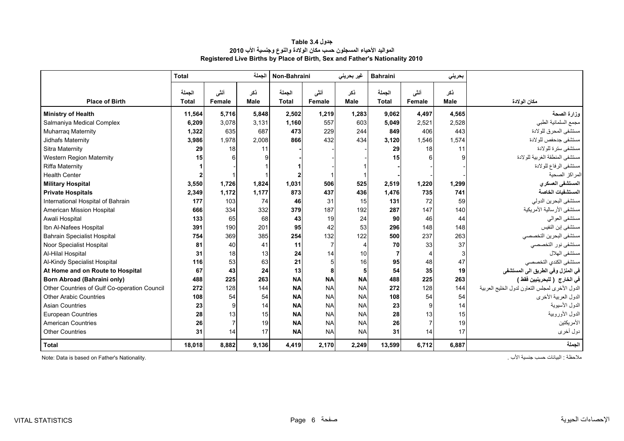### **جدول 3.4 Table المواليد األحياء المسجلون حسب مكان الوالدة والنوع وجنسية األب <sup>2010</sup> Registered Live Births by Place of Birth, Sex and Father's Nationality 2010**

<span id="page-6-0"></span>

|                                              | الجملة<br><b>Total</b> |                |             | Non-Bahraini           |                | غیر بحرینی         | <b>Bahraini</b>        |                | بحريني             |                                                |
|----------------------------------------------|------------------------|----------------|-------------|------------------------|----------------|--------------------|------------------------|----------------|--------------------|------------------------------------------------|
| <b>Place of Birth</b>                        | الجملة<br><b>Total</b> | أنشى<br>Female | نكر<br>Male | الجملة<br><b>Total</b> | أنشى<br>Female | ذكر<br><b>Male</b> | الجملة<br><b>Total</b> | أنشى<br>Female | نكر<br><b>Male</b> | مكان الولادة                                   |
| <b>Ministry of Health</b>                    | 11,564                 | 5,716          | 5,848       | 2,502                  | 1,219          | 1,283              | 9,062                  | 4,497          | 4,565              | وزارة الصحة                                    |
| Salmaniya Medical Complex                    | 6,209                  | 3.078          | 3,131       | 1.160                  | 557            | 603                | 5,049                  | 2,521          | 2,528              | مجمع السلمانية الطبي                           |
| <b>Muharraq Maternity</b>                    | 1,322                  | 635            | 687         | 473                    | 229            | 244                | 849                    | 406            | 443                | مستشفى المحرق للولادة                          |
| Jidhafs Maternity                            | 3,986                  | 1,978          | 2,008       | 866                    | 432            | 434                | 3,120                  | 1,546          | 1,574              | مستشفى جدحفص للولادة                           |
| <b>Sitra Maternity</b>                       | 29                     | 18             | 11          |                        |                |                    | 29                     | 18             | 11                 | مستشفى سترة للولادة                            |
| <b>Western Region Maternity</b>              | 15                     | 6              | 9           |                        |                |                    | 15                     |                | q                  | مستشفى المنطقة الغربية للولادة                 |
| <b>Riffa Maternity</b>                       |                        |                |             |                        |                |                    |                        |                |                    | مستشفى الرفاع للولادة                          |
| <b>Health Center</b>                         |                        |                |             |                        |                |                    |                        |                |                    | المراكز الصحية                                 |
| <b>Military Hospital</b>                     | 3,550                  | 1,726          | 1,824       | 1,031                  | 506            | 525                | 2,519                  | 1,220          | 1,299              | المستشفى العسكر ي                              |
| <b>Private Hospitals</b>                     | 2,349                  | 1,172          | 1,177       | 873                    | 437            | 436                | 1,476                  | 735            | 741                | المستشفيات الخاصة                              |
| International Hospital of Bahrain            | 177                    | 103            | 74          | 46                     | 31             | 15                 | 131                    | 72             | 59                 | مستشفى البحرين الدولي                          |
| <b>American Mission Hospital</b>             | 666                    | 334            | 332         | 379                    | 187            | 192                | 287                    | 147            | 140                | مستشفى الأرسالية الأمريكية                     |
| Awali Hospital                               | 133                    | 65             | 68          | 43                     | 19             | 24                 | 90                     | 46             | 44                 | مستشفى العوالى                                 |
| Ibn Al-Nafees Hospital                       | 391                    | 190            | 201         | 95                     | 42             | 53                 | 296                    | 148            | 148                | مستشفى إبن النفيس                              |
| <b>Bahrain Specialist Hospital</b>           | 754                    | 369            | 385         | 254                    | 132            | 122                | 500                    | 237            | 263                | مستشفى البحرين التخصصي                         |
| Noor Specialist Hospital                     | 81                     | 40             | 41          | 11                     | $\overline{7}$ | -4                 | 70                     | 33             | 37                 | مستشفى نور التخصصي                             |
| Al-Hilal Hospital                            | 31                     | 18             | 13          | 24                     | 14             | 10                 | $\overline{7}$         |                | 3                  | مستشفى الهلال                                  |
| Al-Kindy Specialist Hospital                 | 116                    | 53             | 63          | 21                     | 5              | 16                 | 95                     | 48             | 47                 | مستشفى الكندي التخصصي                          |
| At Home and on Route to Hospital             | 67                     | 43             | 24          | 13                     | 8              | 5                  | 54                     | 35             | 19                 | في المنزل وفي الطريق الى المستشفى              |
| <b>Born Abroad (Bahraini only)</b>           | 488                    | 225            | 263         | <b>NA</b>              | <b>NA</b>      | <b>NA</b>          | 488                    | 225            | 263                | في الخارج  ( للبحرينيين فقط )                  |
| Other Countries of Gulf Co-operation Council | 272                    | 128            | 144         | <b>NA</b>              | <b>NA</b>      | <b>NA</b>          | 272                    | 128            | 144                | الدول الأخرى لمجلس التعاون لدول الخليج العربية |
| <b>Other Arabic Countries</b>                | 108                    | 54             | 54          | <b>NA</b>              | <b>NA</b>      | <b>NA</b>          | 108                    | 54             | 54                 | الدول العربية الأخرى                           |
| <b>Asian Countries</b>                       | 23                     | 9              | 14          | <b>NA</b>              | <b>NA</b>      | <b>NA</b>          | 23                     | 9              | 14                 | الدول الأسيوية                                 |
| <b>European Countries</b>                    | 28                     | 13             | 15          | <b>NA</b>              | <b>NA</b>      | <b>NA</b>          | 28                     | 13             | 15                 | الدول الأوروبية                                |
| <b>American Countries</b>                    | 26                     | $\overline{7}$ | 19          | <b>NA</b>              | <b>NA</b>      | <b>NA</b>          | 26                     | $\overline{7}$ | 19                 | الأمريكتين                                     |
| <b>Other Countries</b>                       | 31                     | 14             | 17          | <b>NA</b>              | <b>NA</b>      | <b>NA</b>          | 31                     | 14             | 17                 | دول أخرى                                       |
| <b>Total</b>                                 | 18,018                 | 8,882          | 9,136       | 4,419                  | 2,170          | 2,249              | 13,599                 | 6,712          | 6,887              | الجملة                                         |

Note: Data is based on Father's Nationality. . األب جنسية حسب البيانات : مالحظة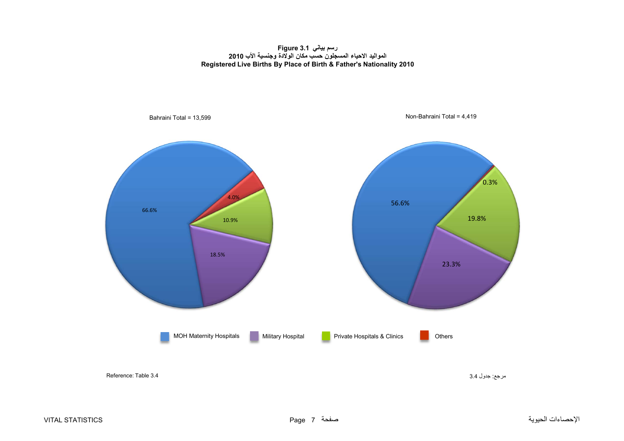**رسم بياني 3.1 Figure المواليد االحياء المسجلون حسب مكان الوالدة وجنسية األب <sup>2010</sup> Registered Live Births By Place of Birth & Father's Nationality 2010**

<span id="page-7-0"></span>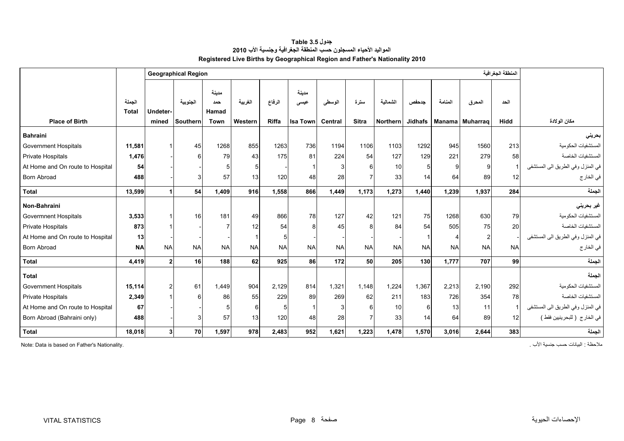**جدول 3.5 Table المواليد األحياء المسجلون حسب المنطقة الجغرافية وجنسية األب <sup>2010</sup> Registered Live Births by Geographical Region and Father's Nationality 2010**

<span id="page-8-0"></span>

|                                  |                 |                | المنطقة الجغرافية<br><b>Geographical Region</b> |                |                      |              |                 |           |              |           |                |               |                 |             |                                   |
|----------------------------------|-----------------|----------------|-------------------------------------------------|----------------|----------------------|--------------|-----------------|-----------|--------------|-----------|----------------|---------------|-----------------|-------------|-----------------------------------|
|                                  |                 |                |                                                 |                |                      |              |                 |           |              |           |                |               |                 |             |                                   |
|                                  |                 |                |                                                 | مدينة          |                      |              | مدينة           |           |              |           |                |               |                 |             |                                   |
|                                  | الجملة<br>Total | Undeter-       | الجنوبية                                        | حمد<br>Hamad   | الغربية              | الرفاع       | عيسى            | الوسطى    | سترة         | الشمالية  | جدحفص          | المنامة       | المحرق          | الحد        |                                   |
| <b>Place of Birth</b>            |                 | mined          | Southern                                        | Town           | Western              | <b>Riffa</b> | <b>Isa Town</b> | Central   | <b>Sitra</b> | Northern  | <b>Jidhafs</b> | <b>Manama</b> | <b>Muharrag</b> | <b>Hidd</b> | مكان الولادة                      |
|                                  |                 |                |                                                 |                |                      |              |                 |           |              |           |                |               |                 |             |                                   |
| <b>Bahraini</b>                  |                 |                |                                                 |                |                      |              |                 |           |              |           |                |               |                 |             | بحرينى                            |
| <b>Government Hospitals</b>      | 11,581          |                | 45                                              | 1268           | 855                  | 1263         | 736             | 1194      | 1106         | 1103      | 1292           | 945           | 1560            | 213         | المستشفيات الحكومية               |
| <b>Private Hospitals</b>         | 1,476           |                | 6                                               | 79             | 43                   | 175          | 81              | 224       | 54           | 127       | 129            | 221           | 279             | 58          | المستشفيات الخاصبة                |
| At Home and On route to Hospital | 54              |                |                                                 | 5              |                      |              |                 |           | 6            | 10        | 5 <sup>1</sup> | 9             | 9               |             | في المنزل وفي الطريق الى المستشفى |
| <b>Born Abroad</b>               | 488             |                | 3                                               | 57             | 13                   | 120          | 48              | 28        |              | 33        | 14             | 64            | 89              | 12          | في الخار ج                        |
| <b>Total</b>                     | 13,599          |                | 54                                              | 1.409          | 916                  | 1,558        | 866             | 1,449     | 1.173        | 1,273     | 1,440          | 1,239         | 1,937           | 284         | الحملة                            |
| Non-Bahraini                     |                 |                |                                                 |                |                      |              |                 |           |              |           |                |               |                 |             | غیر بحرینی                        |
| <b>Govermnent Hospitals</b>      | 3,533           |                | 16                                              | 181            | 49                   | 866          | 78              | 127       | 42           | 121       | 75             | 1268          | 630             | 79          | المستشفيات الحكومية               |
| Private Hospitals                | 873             |                |                                                 | $\overline{7}$ | 12                   | 54           |                 | 45        | $\mathsf{R}$ | 84        | 54             | 505           | 75              | 20          | المستشفيات الخاصة                 |
| At Home and On route to Hospital | 13              |                |                                                 |                | $\blacktriangleleft$ | 5            |                 |           |              |           |                | 4             | $\overline{2}$  |             | في المنزل وفي الطريق الى المستشفى |
| <b>Born Abroad</b>               | <b>NA</b>       | <b>NA</b>      | <b>NA</b>                                       | <b>NA</b>      | <b>NA</b>            | <b>NA</b>    | <b>NA</b>       | <b>NA</b> | <b>NA</b>    | <b>NA</b> | <b>NA</b>      | <b>NA</b>     | <b>NA</b>       | <b>NA</b>   | في الخار ج                        |
| <b>Total</b>                     | 4,419           | $\mathbf{c}$   | <b>16</b>                                       | 188            | 62                   | 925          | 86              | 172       | 50           | 205       | 130            | 1,777         | 707             | 99          | الجملة                            |
| <b>Total</b>                     |                 |                |                                                 |                |                      |              |                 |           |              |           |                |               |                 |             | الجملة                            |
| <b>Government Hospitals</b>      | 15,114          |                | 61                                              | 1.449          | 904                  | 2,129        | 814             | 1,321     | 1.148        | 1,224     | 1,367          | 2,213         | 2,190           | 292         | المستشفيات الحكو مبة              |
| Private Hospitals                | 2,349           |                | 6                                               | 86             | 55                   | 229          | 89              | 269       | 62           | 211       | 183            | 726           | 354             | 78          | المستشفيات الخاصبة                |
| At Home and On route to Hospital | 67              |                |                                                 | 5              | 6                    | 5            |                 |           | 6            | 10        | 6              | 13            | 11              |             | في المنزل وفي الطريق الى المستشفى |
| Born Abroad (Bahraini only)      | 488             |                |                                                 | 57             | 13                   | 120          | 48              | 28        |              | 33        | 14             | 64            | 89              | 12          | في الخارج ( للبحرينيين فقط )      |
| <b>Total</b>                     | 18,018          | 3 <sup>1</sup> | <b>70</b>                                       | 1,597          | 978                  | 2,483        | 952             | 1,621     | 1,223        | 1,478     | 1,570          | 3,016         | 2,644           | 383         | الجملة                            |

ملاحظة : البيانات حسب جنسية الأب . المستخدمة الألب جنسية الألب جنسية الألب جنسية الألب جنسية الألب جنسية الألب جنسية المستخدمة البيانات حسب البيانات حسب البيانات حسب البيانات حسب البيانات حسب البيانات حسب البيانات حسب الب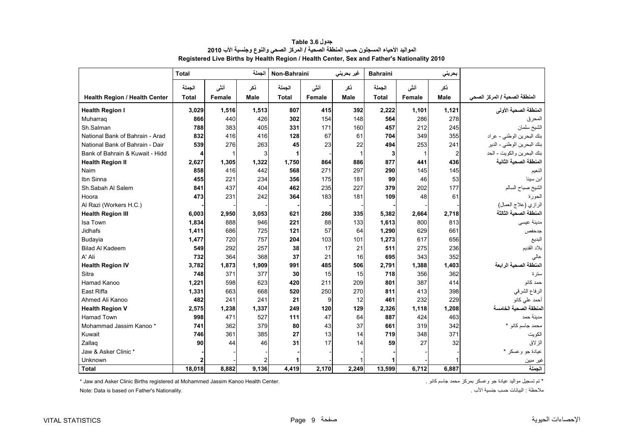<span id="page-9-0"></span>

|                                      | <b>Total</b> |        | الحملة | Non-Bahraini |        | غیر بحرینی | <b>Bahraini</b> |        | بحريني         |                               |
|--------------------------------------|--------------|--------|--------|--------------|--------|------------|-----------------|--------|----------------|-------------------------------|
|                                      | الجملة       | أننى   | ذكر    | الحملة       | أنشى   | ذكر        | الجملة          | أنشى   | نكر            |                               |
| <b>Health Region / Health Center</b> | <b>Total</b> | Female | Male   | <b>Total</b> | Female | Male       | <b>Total</b>    | Female | Male           | المنطقة الصحية / المركز الصحي |
| <b>Health Region I</b>               | 3,029        | 1,516  | 1,513  | 807          | 415    | 392        | 2,222           | 1,101  | 1,121          | المنطقة الصحية الأولى         |
| Muharrag                             | 866          | 440    | 426    | 302          | 154    | 148        | 564             | 286    | 278            | المحرق                        |
| Sh.Salman                            | 788          | 383    | 405    | 331          | 171    | 160        | 457             | 212    | 245            | الشيخ سلمان                   |
| National Bank of Bahrain - Arad      | 832          | 416    | 416    | 128          | 67     | 61         | 704             | 349    | 355            | بنك البحرين الوطني - عراد     |
| National Bank of Bahrain - Dair      | 539          | 276    | 263    | 45           | 23     | 22         | 494             | 253    | 241            | بنك البحرين الوطني - الدير    |
| Bank of Bahrain & Kuwait - Hidd      | 4            |        | 3      | 1            |        | 1          | 3               | 1      | $\overline{2}$ | بنك البحرين والكويت - الحد    |
| <b>Health Region II</b>              | 2,627        | 1,305  | 1,322  | 1,750        | 864    | 886        | 877             | 441    | 436            | المنطقة الصحية الثانية        |
| Naim                                 | 858          | 416    | 442    | 568          | 271    | 297        | 290             | 145    | 145            | النعيم                        |
| Ibn Sinna                            | 455          | 221    | 234    | 356          | 175    | 181        | 99              | 46     | 53             | ابن سينا                      |
| Sh.Sabah Al Salem                    | 841          | 437    | 404    | 462          | 235    | 227        | 379             | 202    | 177            | الشيخ صباح السالم             |
| Hoora                                | 473          | 231    | 242    | 364          | 183    | 181        | 109             | 48     | 61             | الحورة                        |
| Al Razi (Workers H.C.)               |              |        |        |              |        |            |                 |        |                | الرازي (علاج العمال)          |
| <b>Health Region III</b>             | 6,003        | 2,950  | 3,053  | 621          | 286    | 335        | 5,382           | 2,664  | 2,718          | المنطقة الصحية الثالثة        |
| <b>Isa Town</b>                      | 1,834        | 888    | 946    | 221          | 88     | 133        | 1.613           | 800    | 813            | مدينة عيسى                    |
| <b>Jidhafs</b>                       | 1,411        | 686    | 725    | 121          | 57     | 64         | 1,290           | 629    | 661            | جدحفص                         |
| Budayia                              | 1,477        | 720    | 757    | 204          | 103    | 101        | 1,273           | 617    | 656            | البديع                        |
| <b>Bilad Al Kadeem</b>               | 549          | 292    | 257    | 38           | 17     | 21         | 511             | 275    | 236            | بلاد القديم                   |
| A' Ali                               | 732          | 364    | 368    | 37           | 21     | 16         | 695             | 343    | 352            | عالى                          |
| <b>Health Region IV</b>              | 3,782        | 1,873  | 1,909  | 991          | 485    | 506        | 2,791           | 1,388  | 1,403          | المنطقة الصحية الرابعة        |
| Sitra                                | 748          | 371    | 377    | 30           | 15     | 15         | 718             | 356    | 362            | ستر ۃ                         |
| Hamad Kanoo                          | 1,221        | 598    | 623    | 420          | 211    | 209        | 801             | 387    | 414            | حمد کانو                      |
| East Riffa                           | 1,331        | 663    | 668    | 520          | 250    | 270        | 811             | 413    | 398            | الرفاع الشرقي                 |
| Ahmed Ali Kanoo                      | 482          | 241    | 241    | 21           | 9      | 12         | 461             | 232    | 229            | أحمد على كانو                 |
| <b>Health Region V</b>               | 2,575        | 1,238  | 1,337  | 249          | 120    | 129        | 2,326           | 1,118  | 1,208          | لمنطقة الصحبة الخامسة         |
| <b>Hamad Town</b>                    | 998          | 471    | 527    | 111          | 47     | 64         | 887             | 424    | 463            | مدبنة حمد                     |
| Mohammad Jassim Kanoo *              | 741          | 362    | 379    | 80           | 43     | 37         | 661             | 319    | 342            | محمد جاسم کانو *              |
| Kuwait                               | 746          | 361    | 385    | 27           | 13     | 14         | 719             | 348    | 371            | الكويت                        |
| Zallag                               | 90           | 44     | 46     | 31           | 17     | 14         | 59              | 27     | 32             | الزلاق                        |
| Jaw & Asker Clinic *                 |              |        |        |              |        |            |                 |        |                | عيادة جو وعسكر *              |
| Unknown                              |              |        | 2      |              |        |            |                 |        |                | غير مبين                      |
| <b>Total</b>                         | 18.018       | 8.882  | 9,136  | 4,419        | 2,170  | 2,249      | 13,599          | 6,712  | 6.887          | الجملة                        |

| جدول Table 3.6                                                                             |
|--------------------------------------------------------------------------------------------|
| المواليد الأحياء المسجلون حسب المنطقة الصحية / المركز الصحي والنوع وجنسية الأب 2010        |
| Registered Live Births by Health Region / Health Center, Sex and Father's Nationality 2010 |

\* Jaw and Asker Clinic Births registered at Mohammed Jassim Kanoo Health Center. كانو جاسم محمد بمركز محمد جاسم كانو جاسم كانو جاسم محمد بمسم محمد بمسم محمد بمسم محمد بمسكر بسركز محمد بمسم محمد بمسكر تسجيل مواليد تشجيل مو

Note: Data is based on Father's Nationality. . األب جنسية حسب البيانات : مالحظة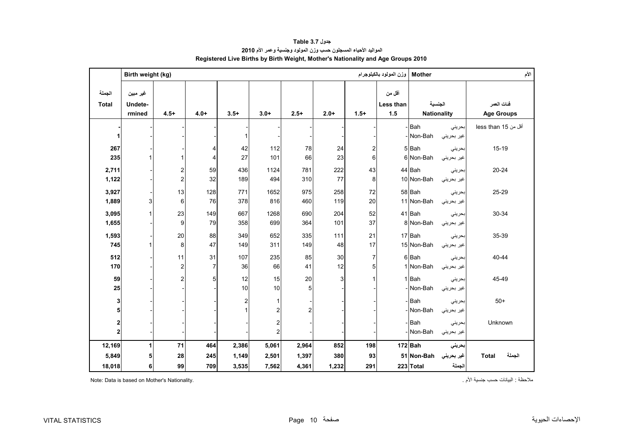<span id="page-10-0"></span>

|                        | Birth weight (kg)             |                |                | وزن المولود بالكيلوجرام | الأم<br><b>Mother</b> |                |        |                         |                            |                               |            |                                 |
|------------------------|-------------------------------|----------------|----------------|-------------------------|-----------------------|----------------|--------|-------------------------|----------------------------|-------------------------------|------------|---------------------------------|
| الجملة<br><b>Total</b> | غير مبين<br>Undete-<br>rmined | $4.5+$         | $4.0+$         | $3.5+$                  | $3.0+$                | $2.5+$         | $2.0+$ | $1.5+$                  | أقل من<br>Less than<br>1.5 | الجنسية<br><b>Nationality</b> |            | فنات العمر<br><b>Age Groups</b> |
|                        |                               |                |                |                         |                       |                |        |                         |                            | Bah                           | بحريني     | أقل من 15 less than             |
| 1                      |                               |                |                | 1                       |                       |                |        |                         |                            | - Non-Bah                     | غير بحريني |                                 |
| 267                    |                               |                | 4              | 42                      | 112                   | 78             | 24     | $\overline{\mathbf{c}}$ |                            | 5Bah                          | بحرينى     | $15-19$                         |
| 235                    |                               |                | $\overline{4}$ | 27                      | 101                   | 66             | 23     | 6                       |                            | 6 Non-Bah                     | غير بحريني |                                 |
| 2,711                  |                               | 2              | 59             | 436                     | 1124                  | 781            | 222    | 43                      |                            | 44 Bah                        | بحريني     | $20 - 24$                       |
| 1,122                  |                               | $\overline{c}$ | 32             | 189                     | 494                   | 310            | 77     | 8                       |                            | 10 Non-Bah                    | غير بحريني |                                 |
| 3,927                  |                               | 13             | 128            | 771                     | 1652                  | 975            | 258    | 72                      |                            | 58 Bah                        | بحريني     | 25-29                           |
| 1,889                  | 3                             | 6              | 76             | 378                     | 816                   | 460            | 119    | 20                      |                            | 11 Non-Bah                    | غير بحريني |                                 |
| 3,095                  | $\mathbf{1}$                  | 23             | 149            | 667                     | 1268                  | 690            | 204    | 52                      |                            | 41 Bah                        | بحريني     | 30-34                           |
| 1,655                  |                               | 9              | 79             | 358                     | 699                   | 364            | 101    | 37                      |                            | 8 Non-Bah                     | غير بحريني |                                 |
| 1,593                  |                               | 20             | 88             | 349                     | 652                   | 335            | 111    | 21                      |                            | 17 Bah                        | بحريني     | 35-39                           |
| 745                    | 1                             | 8              | 47             | 149                     | 311                   | 149            | 48     | 17                      |                            | 15 Non-Bah                    | غير بحريني |                                 |
| 512                    |                               | 11             | 31             | 107                     | 235                   | 85             | 30     | $\overline{7}$          |                            | 6Bah                          | بحريني     | 40-44                           |
| 170                    |                               | 2              | $\overline{7}$ | 36                      | 66                    | 41             | 12     | 5                       |                            | 1 Non-Bah                     | غير بحريني |                                 |
| 59                     |                               | $\overline{2}$ | 5              | 12                      | 15                    | 20             | 3      | 1                       |                            | 1 Bah                         | بحريني     | 45-49                           |
| 25                     |                               |                |                | 10                      | 10                    | 5              |        |                         |                            | Non-Bah                       | غير بحريني |                                 |
| 3                      |                               |                |                | $\overline{\mathbf{c}}$ |                       |                |        |                         |                            | Bah                           | بحرينى     | $50+$                           |
| 5                      |                               |                |                | $\mathbf{1}$            | $\overline{2}$        | $\overline{2}$ |        |                         |                            | -Non-Bah                      | غير بحريني |                                 |
| 2                      |                               |                |                |                         | 2                     |                |        |                         |                            | -Bah                          | بحريني     | Unknown                         |
| $\mathbf{2}$           |                               |                |                |                         | $\overline{2}$        |                |        |                         |                            | Non-Bah                       | غير بحريني |                                 |
| 12,169                 | 1                             | 71             | 464            | 2,386                   | 5,061                 | 2,964          | 852    | 198                     |                            | 172 Bah                       | بحريني     |                                 |
| 5,849                  | 5                             | 28             | 245            | 1,149                   | 2,501                 | 1,397          | 380    | 93                      |                            | 51 Non-Bah                    | غير بحريني | الجملة<br><b>Total</b>          |
| 18,018                 | 6                             | 99             | 709            | 3,535                   | 7,562                 | 4,361          | 1,232  | 291                     |                            | 223 Total                     | الجملة     |                                 |

#### **جدول 3.7 Table المواليد األحياء المسجلون حسب وزن المولود وجنسية وعمر األم<sup>2010</sup> Registered Live Births by Birth Weight, Mother's Nationality and Age Groups 2010**

ملاحظة : البيانات حسب جنسية الأم . المستحسب المستقدم المستقدم المستقدم المستقدم المستقدم البيانات حسب جنسية الأم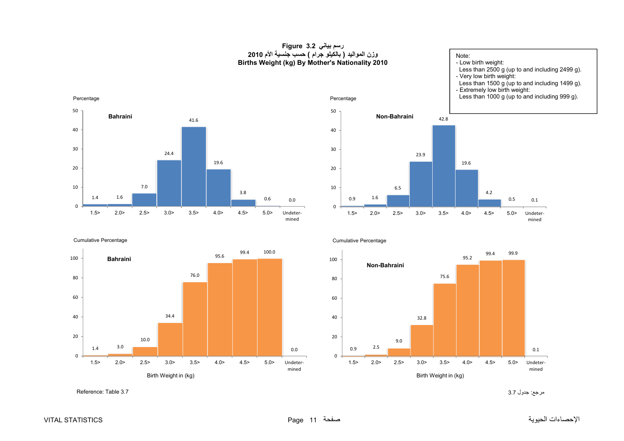#### **رسم بياني 3.2 Figure وزن المواليد ( بالكيلو جرام ) حسب جنسية األم <sup>2010</sup> Births Weight (kg) By Mother's Nationality 2010**

Note: - Low birth weight: Less than 2500 g (up to and including 2499 g). - Very low birth weight: Less than 1500 g (up to and including 1499 g). - Extremely low birth weight:



0.5

4.2

19.6

42.8

23.9

0.1

Undetermined



Cumulative Percentage

1.4

0

10

20

30

40

50

<span id="page-11-0"></span>Percentage

1.6

**Bahraini**



Cumulative Percentage



مرجع: جدول 3.7 3.7 Table :Reference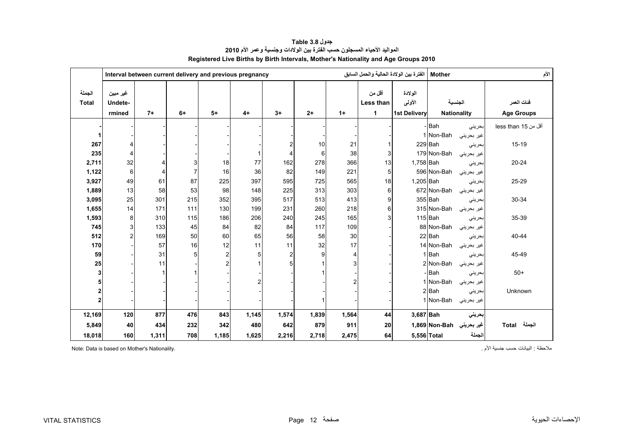<span id="page-12-0"></span>

|                        |                               |       | Interval between current delivery and previous pregnancy |                |                |                         |       |       | الفترة بين الولادة الحالية والحمل السابق |                                          | <b>Mother</b>                 |            | الأم                            |
|------------------------|-------------------------------|-------|----------------------------------------------------------|----------------|----------------|-------------------------|-------|-------|------------------------------------------|------------------------------------------|-------------------------------|------------|---------------------------------|
| الجملة<br><b>Total</b> | غير مبين<br>Undete-<br>rmined | $7+$  | $6+$                                                     | $5+$           | $4+$           | $3+$                    | $2+$  | $1+$  | أقل من<br>Less than<br>$\mathbf{1}$      | الولادة<br>الأولى<br><b>1st Delivery</b> | الجنسية<br><b>Nationality</b> |            | فئات العمر<br><b>Age Groups</b> |
|                        |                               |       |                                                          |                |                |                         |       |       |                                          |                                          | - Bah                         | بحريني     | أقل من 15 less than             |
|                        |                               |       |                                                          |                |                |                         |       |       |                                          |                                          | 1 Non-Bah                     | غير بحريني |                                 |
| 267                    | 4                             |       |                                                          |                |                | $\overline{c}$          | 10    | 21    |                                          |                                          | 229 Bah                       | بحريني     | $15-19$                         |
| 235                    | 4                             |       |                                                          |                |                | 4                       | 6     | 38    | 3                                        |                                          | 179 Non-Bah                   | غير بحريني |                                 |
| 2,711                  | 32                            |       |                                                          | 18             | 77             | 162                     | 278   | 366   | 13                                       | 1,758 Bah                                |                               | بحريني     | 20-24                           |
| 1,122                  | 6                             | 4     |                                                          | 16             | 36             | 82                      | 149   | 221   | 5                                        |                                          | 596 Non-Bah                   | غیر بحرینی |                                 |
| 3,927                  | 49                            | 61    | 87                                                       | 225            | 397            | 595                     | 725   | 565   | 18                                       | 1,205 Bah                                |                               | بحريني     | 25-29                           |
| 1,889                  | 13                            | 58    | 53                                                       | 98             | 148            | 225                     | 313   | 303   | 6                                        |                                          | 672 Non-Bah                   | غير بحريني |                                 |
| 3,095                  | 25                            | 301   | 215                                                      | 352            | 395            | 517                     | 513   | 413   | 9                                        |                                          | 355 Bah                       | بحريني     | 30-34                           |
| 1,655                  | 14                            | 171   | 111                                                      | 130            | 199            | 231                     | 260   | 218   | 6                                        |                                          | 315 Non-Bah                   | غير بحريني |                                 |
| 1,593                  | 8                             | 310   | 115                                                      | 186            | 206            | 240                     | 245   | 165   | 3                                        |                                          | 115 Bah                       | بحريني     | 35-39                           |
| 745                    | 3                             | 133   | 45                                                       | 84             | 82             | 84                      | 117   | 109   |                                          |                                          | 88 Non-Bah                    | غير بحريني |                                 |
| 512                    | $\overline{c}$                | 169   | 50                                                       | 60             | 65             | 56                      | 58    | 30    |                                          |                                          | 22 Bah                        | بحريني     | 40-44                           |
| 170                    |                               | 57    | 16                                                       | 12             | 11             | 11                      | 32    | 17    |                                          |                                          | 14 Non-Bah                    | غیر بحرینی |                                 |
| 59                     |                               | 31    |                                                          | $\overline{c}$ | 5              | $\overline{\mathbf{c}}$ | 9     | 4     |                                          |                                          | 1 Bah                         | بحريني     | 45-49                           |
| 25                     |                               | 11    |                                                          | $\mathfrak{p}$ |                | 5                       |       |       |                                          |                                          | 2 Non-Bah                     | غير بحريني |                                 |
| 3                      |                               |       |                                                          |                |                |                         |       |       |                                          |                                          | - Bah                         | بحريني     | $50+$                           |
|                        |                               |       |                                                          |                | $\overline{c}$ |                         |       |       |                                          |                                          | 1 Non-Bah                     | غير بحريني |                                 |
|                        |                               |       |                                                          |                |                |                         |       |       |                                          |                                          | 2 Bah                         | بحريني     | Unknown                         |
| $\overline{2}$         |                               |       |                                                          |                |                |                         |       |       |                                          |                                          | 1 Non-Bah                     | غير بحريني |                                 |
| 12,169                 | 120                           | 877   | 476                                                      | 843            | 1,145          | 1,574                   | 1,839 | 1,564 | 44                                       | $3,687$ Bah                              |                               | بحرينى     |                                 |
| 5,849                  | 40                            | 434   | 232                                                      | 342            | 480            | 642                     | 879   | 911   | 20                                       |                                          | غير بحريني Non-Bah 1,869      |            | الجملة Total                    |
| 18,018                 | 160                           | 1,311 | 708                                                      | 1,185          | 1,625          | 2,216                   | 2,718 | 2,475 | 64                                       |                                          | 5,556 Total                   | الجملة     |                                 |

**جدول 3.8 Table المواليد األحياء المسجلون حسب الفترة بين الوالدات وجنسية وعمر األم <sup>2010</sup> Registered Live Births by Birth Intervals, Mother's Nationality and Age Groups 2010** 

ملاحظة : البيانات حسب جنسية الأم . البيانات حسب جنسية الأم جنسية الأم جنسية الأم جنسية الأم جنسية الأم . البيانات حسب جنسية الأم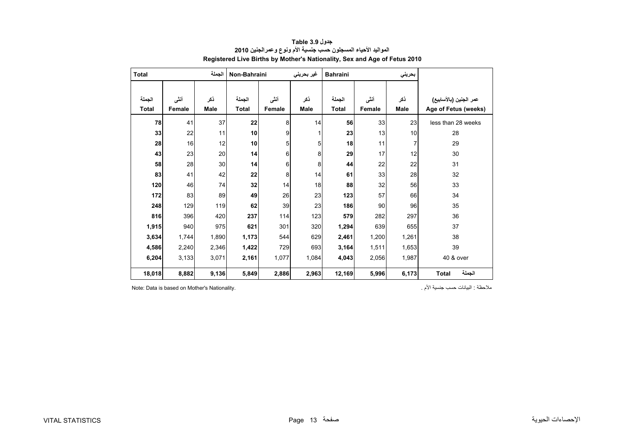<span id="page-13-0"></span>

| <b>Total</b> |        | الجملة      | Non-Bahraini |        | غير بحريني  | <b>Bahraini</b> |        | بحريني      |                        |
|--------------|--------|-------------|--------------|--------|-------------|-----------------|--------|-------------|------------------------|
|              |        |             |              |        |             |                 |        |             |                        |
| الجملة       | أنشى   | ذكر         | الجملة       | أنشى   | ذكر         | الجملة          | أنثى   | ذكر         | عمر الجنين (بالأسابيع) |
| <b>Total</b> | Female | <b>Male</b> | <b>Total</b> | Female | <b>Male</b> | <b>Total</b>    | Female | <b>Male</b> | Age of Fetus (weeks)   |
| 78           | 41     | 37          | 22           | 8      | 14          | 56              | 33     | 23          | less than 28 weeks     |
| 33           | 22     | 11          | 10           | 9      | 1           | 23              | 13     | 10          | 28                     |
| 28           | 16     | 12          | 10           | 5      | 5           | 18              | 11     | 7           | 29                     |
| 43           | 23     | 20          | 14           | 6      | 8           | 29              | 17     | 12          | 30                     |
| 58           | 28     | 30          | 14           | 6      | 8           | 44              | 22     | 22          | 31                     |
| 83           | 41     | 42          | 22           | 8      | 14          | 61              | 33     | 28          | 32                     |
| 120          | 46     | 74          | 32           | 14     | 18          | 88              | 32     | 56          | 33                     |
| 172          | 83     | 89          | 49           | 26     | 23          | 123             | 57     | 66          | 34                     |
| 248          | 129    | 119         | 62           | 39     | 23          | 186             | 90     | 96          | 35                     |
| 816          | 396    | 420         | 237          | 114    | 123         | 579             | 282    | 297         | 36                     |
| 1,915        | 940    | 975         | 621          | 301    | 320         | 1,294           | 639    | 655         | 37                     |
| 3,634        | 1,744  | 1,890       | 1,173        | 544    | 629         | 2,461           | 1,200  | 1,261       | 38                     |
| 4,586        | 2,240  | 2,346       | 1,422        | 729    | 693         | 3,164           | 1,511  | 1,653       | 39                     |
| 6,204        | 3,133  | 3,071       | 2,161        | 1,077  | 1,084       | 4,043           | 2,056  | 1,987       | 40 & over              |
| 18,018       | 8,882  | 9,136       | 5,849        | 2,886  | 2,963       | 12,169          | 5,996  | 6,173       | الجملة<br><b>Total</b> |

**جدول 3.9 Table المواليد األحياء المسجلون حسب جنسية األم ونوع وعمرالجنين <sup>2010</sup> Registered Live Births by Mother's Nationality, Sex and Age of Fetus 2010**

Note: Data is based on Mother's Nationality. . األم جنسية حسب البيانات : مالحظة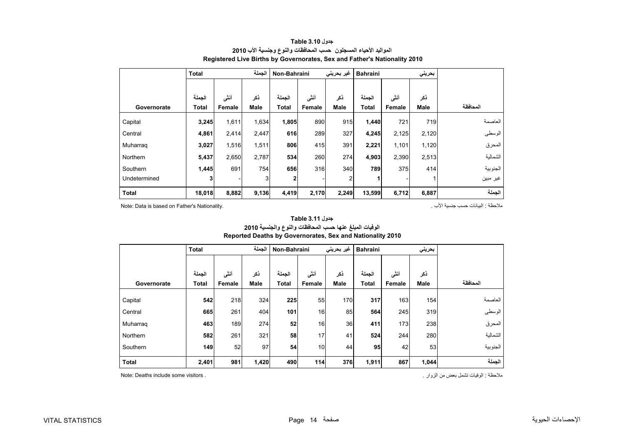<span id="page-14-0"></span>

|              | <b>Total</b> |        | الحملة      | Non-Bahraini |        | غیر بحرینی | <b>Bahraini</b> |        | بحريني |          |
|--------------|--------------|--------|-------------|--------------|--------|------------|-----------------|--------|--------|----------|
|              |              |        |             |              |        |            |                 |        |        |          |
|              | الجملة       | أنشى   | ذكر         | الجملة       | أنشى   | ذكر        | الجملة          | أنشى   | ذكر    |          |
| Governorate  | Total        | Female | <b>Male</b> | Total        | Female | Male       | Total           | Female | Male   | المحافظة |
| Capital      | 3,245        | 1,611  | 1,634       | 1,805        | 890    | 915        | 1,440           | 721    | 719    | العاصمة  |
| Central      | 4,861        | 2,414  | 2,447       | 616          | 289    | 327        | 4,245           | 2,125  | 2,120  | الوسطى   |
| Muharrag     | 3,027        | 1,516  | 1,511       | 806          | 415    | 391        | 2,221           | 1,101  | 1,120  | المحرق   |
| Northern     | 5,437        | 2,650  | 2,787       | 534          | 260    | 274        | 4,903           | 2,390  | 2,513  | الشمالية |
| Southern     | 1,445        | 691    | 754         | 656          | 316    | 340        | 789             | 375    | 414    | الجنوبية |
| Undetermined |              |        | 3           | 2            |        | 2          |                 |        |        | غير مبين |
| <b>Total</b> | 18,018       | 8,882  | 9,136       | 4,419        | 2,170  | 2,249      | 13,599          | 6,712  | 6,887  | الجملة   |

#### **جدول 3.10 Table المواليد األحياء المسجلون حسب المحافظات والنوع وجنسية األب <sup>2010</sup> Registered Live Births by Governorates, Sex and Father's Nationality 2010**

Note: Data is based on Father's Nationality. . األب جنسية حسب البيانات : مالحظة

|              | <b>Total</b>           |                | الجملة             | Non-Bahraini           |                | غیر بحرینی         | <b>Bahraini</b>        |                | بحريني             |          |
|--------------|------------------------|----------------|--------------------|------------------------|----------------|--------------------|------------------------|----------------|--------------------|----------|
| Governorate  | الحملة<br><b>Total</b> | أنشى<br>Female | ذكر<br><b>Male</b> | الجملة<br><b>Total</b> | أنشى<br>Female | ذكر<br><b>Male</b> | الجملة<br><b>Total</b> | أنشى<br>Female | ذكر<br><b>Male</b> | المحافظة |
| Capital      | 542                    | 218            | 324                | 225                    | 55             | 170                | 317                    | 163            | 154                | العاصمة  |
| Central      | 665                    | 261            | 404                | 101                    | 16             | 85                 | 564                    | 245            | 319                | الوسطى   |
| Muharraq     | 463                    | 189            | 274                | 52                     | 16             | 36                 | 411                    | 173            | 238                | المحرق   |
| Northern     | 582                    | 261            | 321                | 58                     | 17             | 41                 | 524                    | 244            | 280                | الشمالية |
| Southern     | 149                    | 52             | 97                 | 54                     | 10             | 44                 | 95                     | 42             | 53                 | الجنوبية |
| <b>Total</b> | 2,401                  | 981            | 1,420              | 490                    | 114            | 376                | 1,911                  | 867            | 1,044              | الجملة   |

#### **الوفيات المبلغ عنھا حسب المحافظات والنوع والجنسية <sup>2010</sup> Reported Deaths by Governorates, Sex and Nationality 2010 جدول 3.11 Table**

مالحظة : الوفيات تشمل بعض من الزوار . . visitors some include Deaths :Note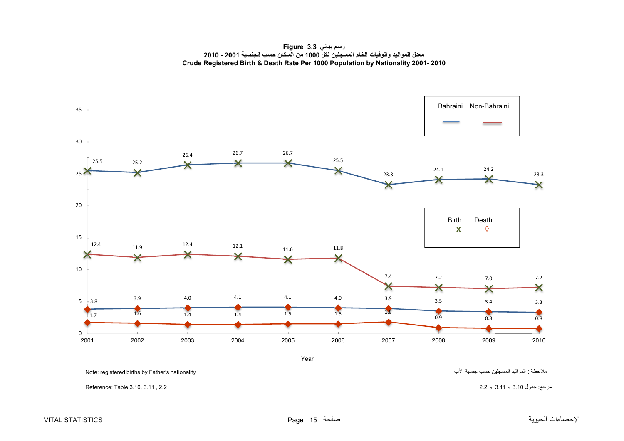**رسم بياني 3.3 Figure معدل المواليد والوفيات الخام المسجلين لكل <sup>1000</sup> من السكان حسب الجنسية <sup>2001</sup> - <sup>2010</sup> Crude Registered Birth & Death Rate Per 1000 Population by Nationality 2001- 2010**

<span id="page-15-0"></span>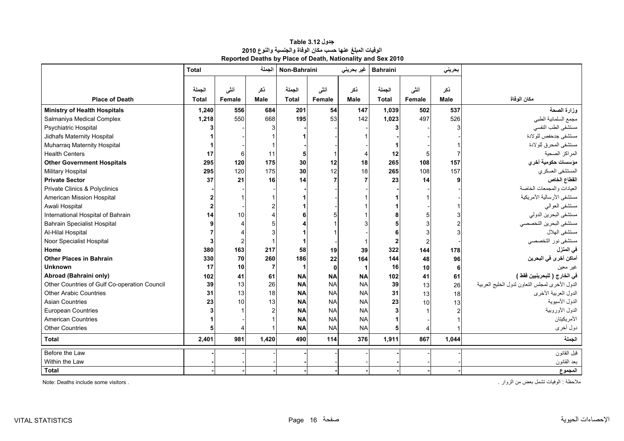<span id="page-16-0"></span>

|                                              | <b>Total</b>           |                | الجملة             | Non-Bahraini           |                | غير بحريني         | <b>Bahraini</b>         |                 | بحريني             |                                                |
|----------------------------------------------|------------------------|----------------|--------------------|------------------------|----------------|--------------------|-------------------------|-----------------|--------------------|------------------------------------------------|
| <b>Place of Death</b>                        | الجملة<br><b>Total</b> | أننى<br>Female | نكر<br><b>Male</b> | الجملة<br><b>Total</b> | أنثى<br>Female | ذكر<br><b>Male</b> | الجملة<br><b>Total</b>  | أنشى<br>Female  | نكر<br><b>Male</b> | مكان الوفاة                                    |
| <b>Ministry of Health Hospitals</b>          | 1,240                  | 556            | 684                | 201                    | 54             | 147                | 1,039                   | 502             | 537                | وزارة الصحة                                    |
| Salmaniya Medical Complex                    | 1,218                  | 550            | 668                | 195                    | 53             | 142                | 1,023                   | 497             | 526                | مجمع السلمانية الطبي                           |
| <b>Psychiatric Hospital</b>                  |                        |                |                    |                        |                |                    |                         |                 |                    | مستشفى الطب النفسى                             |
| Jidhafs Maternity Hospital                   |                        |                |                    |                        |                |                    |                         |                 |                    | مستشفى جدحفص للولادة                           |
| Muharraq Maternity Hospital                  |                        |                |                    |                        |                |                    |                         |                 |                    | مستشفى المحرق للولادة                          |
| <b>Health Centers</b>                        | 17                     | -6             | 11                 |                        |                |                    | 12                      | 5               |                    | المراكز الصحية                                 |
| <b>Other Government Hospitals</b>            | 295                    | 120            | 175                | 30                     | 12             | 18                 | 265                     | 108             | 157                | مؤسسات حكومية أخري                             |
| <b>Military Hospital</b>                     | 295                    | 120            | 175                | 30                     | 12             | 18                 | 265                     | 108             | 157                | المستشفى العسكري                               |
| <b>Private Sector</b>                        | 37                     | 21             | 16                 | 14                     |                |                    | 23                      | 14              |                    | القطاع الخاص                                   |
| Private Clinics & Polyclinics                |                        |                |                    |                        |                |                    |                         |                 |                    | العيادات والمجمعات الخاصة                      |
| American Mission Hospital                    |                        |                |                    |                        |                |                    |                         |                 |                    | مستشفى الأرسالية الأمريكية                     |
| Awali Hospital                               |                        |                |                    |                        |                |                    |                         |                 |                    | مستشفى العوالمي                                |
| International Hospital of Bahrain            | 14                     | 10             |                    |                        |                |                    |                         |                 |                    | مستشفى البحرين الدولي                          |
| <b>Bahrain Specialist Hospital</b>           |                        |                |                    |                        |                |                    |                         |                 |                    | مستشفى البحرين التخصصي                         |
| Al-Hilal Hospital                            |                        |                |                    |                        |                |                    |                         |                 | 3                  | مستشفى الهلال                                  |
| Noor Specialist Hospital                     |                        |                |                    |                        |                |                    | $\overline{\mathbf{2}}$ |                 |                    | مستشفى نور التخصصي                             |
| Home                                         | 380                    | 163            | 217                | 58                     | 19             | 39                 | 322                     | 144             | 178                | في المنزل                                      |
| <b>Other Places in Bahrain</b>               | 330                    | 70             | 260                | 186                    | 22             | 164                | 144                     | 48              | 96                 | أماكن أخرى في البحرين                          |
| <b>Unknown</b>                               | 17                     | 10             | $\overline{7}$     | -1                     | 0              |                    | 16                      | 10              | 6                  | غير معين                                       |
| Abroad (Bahraini only)                       | 102                    | 41             | 61                 | <b>NA</b>              | <b>NA</b>      | <b>NA</b>          | 102                     | 41              | 61                 | في الخارج ( للبحرينيين فقط )                   |
| Other Countries of Gulf Co-operation Council | 39                     | 13             | 26                 | <b>NA</b>              | <b>NA</b>      | <b>NA</b>          | 39                      | 13              | 26                 | الدول الأخرى لمجلس التعاون لدول الخليج العربية |
| <b>Other Arabic Countries</b>                | 31                     | 13             | 18                 | <b>NA</b>              | <b>NA</b>      | <b>NA</b>          | 31                      | 13              | 18                 | الدول العربية الأخرى                           |
| <b>Asian Countries</b>                       | 23                     | 10             | 13                 | <b>NA</b>              | <b>NA</b>      | <b>NA</b>          | 23                      | 10 <sup>1</sup> | 13                 | الدول الأسيوية                                 |
| European Countries                           |                        |                |                    | <b>NA</b>              | <b>NA</b>      | <b>NA</b>          |                         |                 |                    | الدول الأوروبية                                |
| <b>American Countries</b>                    |                        |                |                    | <b>NA</b>              | <b>NA</b>      | <b>NA</b>          |                         |                 |                    | الأمريكيتان                                    |
| <b>Other Countries</b>                       |                        |                |                    | <b>NA</b>              | <b>NA</b>      | <b>NA</b>          |                         |                 |                    | دول أخرى                                       |
| <b>Total</b>                                 | 2,401                  | 981            | 1,420              | 490                    | 114            | 376                | 1,911                   | 867             | 1,044              | الجملة                                         |
| Before the Law                               |                        |                |                    |                        |                |                    |                         |                 |                    | قبل القانون                                    |
| Within the Law                               |                        |                |                    |                        |                |                    |                         |                 |                    | بعد القانون                                    |
| <b>Total</b>                                 |                        |                |                    |                        |                |                    |                         |                 |                    | المجموع                                        |

**جدول 3.12 Table الوفيات المبلغ عنھا حسب مكان الوفاة والجنسية والنوع <sup>2010</sup> Reported Deaths by Place of Death, Nationality and Sex 2010**

مالحظة : الوفيات تشمل بعض من الزوار . . visitors some include Deaths :Note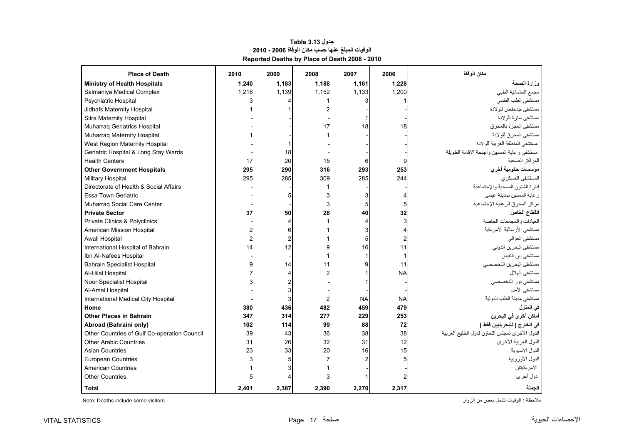<span id="page-17-0"></span>

| <b>Place of Death</b>                        | 2010  | 2009  | 2008  | 2007      | 2006      | مكان الوفاة                                    |
|----------------------------------------------|-------|-------|-------|-----------|-----------|------------------------------------------------|
| <b>Ministry of Health Hospitals</b>          | 1,240 | 1,183 | 1,188 | 1,161     | 1,228     | وزارة الصحة                                    |
| Salmaniya Medical Complex                    | 1,218 | 1,139 | 1,152 | 1,133     | 1,200     | مجمع السلمانية الطبي                           |
| <b>Psychiatric Hospital</b>                  |       |       |       |           |           | مستشفى الطب النفسى                             |
| Jidhafs Maternity Hospital                   |       |       |       |           |           | مستشفى جدحفص للولادة                           |
| Sitra Maternity Hospital                     |       |       |       |           |           | مستشفى سترة للولادة                            |
| Muharraq Geriatrics Hospital                 |       |       | 17    | 18        | 18        | مستشفى العجز ة بالمحر ق                        |
| Muharraq Maternity Hospital                  |       |       |       |           |           | مستشفى المحر ق للو لادة                        |
| West Region Maternity Hospital               |       |       |       |           |           | مستشفى المنطقة الغربية للولادة                 |
| Geriatric Hospital & Long Stay Wards         |       | 18    |       |           |           | مستشفى رعاية المسنين وأجنحة الإقامة الطويلة    |
| <b>Health Centers</b>                        | 17    | 20    | 15    |           |           | المر اكز الصحبة                                |
| <b>Other Government Hospitals</b>            | 295   | 290   | 316   | 293       | 253       | مؤسسات حكومية أخرى                             |
| <b>Military Hospital</b>                     | 295   | 285   | 309   | 285       | 244       | المستشفى العسكري                               |
| Directorate of Health & Social Affairs       |       |       |       |           |           | إدارة الشئون الصحية والإجتماعية                |
| Essa Town Geriatric                          |       |       |       |           |           | ر عاية المسنين بمدينة عيسى                     |
| Muharrag Social Care Center                  |       |       |       |           | 5         | مركز المحرق للرعاية الإجتماعية                 |
| <b>Private Sector</b>                        | 37    | 50    | 28    | 40        | 32        | القطاع الخاص                                   |
| Private Clinics & Polyclinics                |       |       |       |           | 3         | العبادات والمجمعات الخاصبة                     |
| American Mission Hospital                    |       |       |       |           |           | مستشفى الأرسالية الأمريكية                     |
| Awali Hospital                               |       |       |       |           |           | مستشفى العوالمي                                |
| International Hospital of Bahrain            | 14    | 12    |       | 16        | 11        | مستشفى البحرين الدولي                          |
| Ibn Al-Nafees Hospital                       |       |       |       |           |           | مستشفى إبن النفيس                              |
| <b>Bahrain Specialist Hospital</b>           |       | 14    | 11    |           | 11        | مستشفى البحرين التخصصي                         |
| Al-Hilal Hospital                            |       |       |       |           | <b>NA</b> | مستشفى الهلال                                  |
| Noor Specialist Hospital                     |       |       |       |           |           | مستشفى نور التخصصي                             |
| Al-Amal Hospital                             |       |       |       |           |           | مستشفى الأمل                                   |
| International Medical City Hospital          |       |       |       | <b>NA</b> | <b>NA</b> | مستشفى مدينة الطب الدولية                      |
| Home                                         | 380   | 436   | 482   | 459       | 479       | في المنزل                                      |
| <b>Other Places in Bahrain</b>               | 347   | 314   | 277   | 229       | 253       | أماكن أخر ى في البحرين                         |
| Abroad (Bahraini only)                       | 102   | 114   | 99    | 88        | 72        | في الخارج ( للبحرينيين فقط )                   |
| Other Countries of Gulf Co-operation Council | 39    | 43    | 36    | 38        | 38        | الدول الأخرى لمجلس التعاون لدول الخليج العربية |
| <b>Other Arabic Countries</b>                | 31    | 26    | 32    | 31        | 12        | الدول العربية الأخرى                           |
| <b>Asian Countries</b>                       | 23    | 33    | 20    | 16        | 15        | الدول الأسيوية                                 |
| <b>European Countries</b>                    |       |       |       |           |           | الدول الأوروبية                                |
| <b>American Countries</b>                    |       |       |       |           |           | الأمر يكيتان                                   |
| <b>Other Countries</b>                       |       |       |       |           |           | دول أخرى                                       |
| Total                                        | 2.401 | 2,387 | 2.390 | 2.270     | 2,317     | الحملة                                         |

### **جدول 3.13 Table الوفيات المبلغ عنھا حسب مكان الوفاة 2006 - 2010 Reported Deaths by Place of Death 2006 - 2010**

ملاحظة : الوفيات تشمل بعض من الزوار .<br>ـ Note: Deaths include some visitors .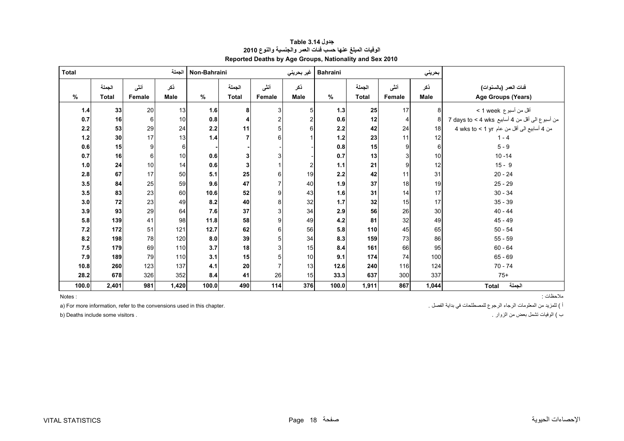<span id="page-18-0"></span>

| <b>Total</b> |              |               | الجملة | Non-Bahraini |              |               | غير بحريني  | <b>Bahraini</b> |              |        | بحريني      |                                                |
|--------------|--------------|---------------|--------|--------------|--------------|---------------|-------------|-----------------|--------------|--------|-------------|------------------------------------------------|
|              | الجملة       | أنشى          | ذكر    |              | الجملة       | أننى          | ذكر         |                 | الجملة       | أنشى   | ذكر         | فَنات العمر (بالسنوات)                         |
| $\%$         | <b>Total</b> | <b>Female</b> | Male   | $\%$         | <b>Total</b> | <b>Female</b> | <b>Male</b> | %               | <b>Total</b> | Female | <b>Male</b> | Age Groups (Years)                             |
| 1.4          | 33           | 20            | 13     | 1.6          | 8            | 3             | 5           | 1.3             | 25           | 17     | 8           | أقل من أسبوع veek >                            |
| 0.7          | 16           | 6             | 10     | 0.8          |              | 2             |             | 0.6             | 12           | 4      |             | من أسبوع الى أقل من 4 أسابيع 7 days to < 4 wks |
| 2.2          | 53           | 29            | 24     | 2.2          | 11           | 5             | 6           | $2.2\,$         | 42           | 24     | 18          | من 4 أسابيع الى أقل من عام 4 wks to < 1 yr     |
| 1.2          | 30           | 17            | 13     | 1.4          |              | 6             |             | $1.2$           | 23           | 11     | 12          | $1 - 4$                                        |
| 0.6          | 15           | 9             | 6      |              |              |               |             | 0.8             | 15           | 9      | 6           | $5 - 9$                                        |
| 0.7          | 16           | 6             | 10     | 0.6          |              | 3             |             | 0.7             | 13           |        | 10          | $10 - 14$                                      |
| 1.0          | 24           | 10            | 14     | 0.6          | 3            |               | 2           | 1.1             | 21           | 9      | 12          | $15 - 9$                                       |
| 2.8          | 67           | 17            | 50     | 5.1          | 25           | 6             | 19          | 2.2             | 42           | 11     | 31          | $20 - 24$                                      |
| 3.5          | 84           | 25            | 59     | 9.6          | 47           |               | 40          | 1.9             | 37           | 18     | 19          | $25 - 29$                                      |
| 3.5          | 83           | 23            | 60     | 10.6         | 52           | 9             | 43          | 1.6             | 31           | 14     | 17          | $30 - 34$                                      |
| 3.0          | 72           | 23            | 49     | 8.2          | 40           | 8             | 32          | 1.7             | 32           | 15     | 17          | $35 - 39$                                      |
| 3.9          | 93           | 29            | 64     | 7.6          | 37           | 3             | 34          | 2.9             | 56           | 26     | 30          | $40 - 44$                                      |
| 5.8          | 139          | 41            | 98     | 11.8         | 58           | 9             | 49          | 4.2             | 81           | 32     | 49          | $45 - 49$                                      |
| 7.2          | 172          | 51            | 121    | 12.7         | 62           | 6             | 56          | 5.8             | 110          | 45     | 65          | $50 - 54$                                      |
| 8.2          | 198          | 78            | 120    | 8.0          | 39           | 5             | 34          | 8.3             | 159          | 73     | 86          | $55 - 59$                                      |
| 7.5          | 179          | 69            | 110    | 3.7          | 18           | 3             | 15          | 8.4             | 161          | 66     | 95          | $60 - 64$                                      |
| 7.9          | 189          | 79            | 110    | 3.1          | 15           | 5             | 10          | 9.1             | 174          | 74     | 100         | $65 - 69$                                      |
| 10.8         | 260          | 123           | 137    | 4.1          | 20           | 7             | 13          | 12.6            | 240          | 116    | 124         | $70 - 74$                                      |
| 28.2         | 678          | 326           | 352    | 8.4          | 41           | 26            | 15          | 33.3            | 637          | 300    | 337         | $75+$                                          |
| 100.0        | 2,401        | 981           | 1,420  | 100.0        | 490          | 114           | 376         | 100.0           | 1,911        | 867    | 1,044       | الجملة<br>Total                                |

#### **جدول 3.14 Table الوفيات المبلغ عنھا حسب فئات العمر والجنسية والنوع <sup>2010</sup> Reported Deaths by Age Groups, Nationality and Sex 2010**

Notes:

a) For more information, refer to the convensions used in this chapter. " الفريد من المعلومات الرجاء الرجوع للمصطلحات في بداية الفصل .

مالحظات : : Notes

<sup>ب</sup> ) الوفيات تشمل بعض من الزوار . . visitors some include Deaths) b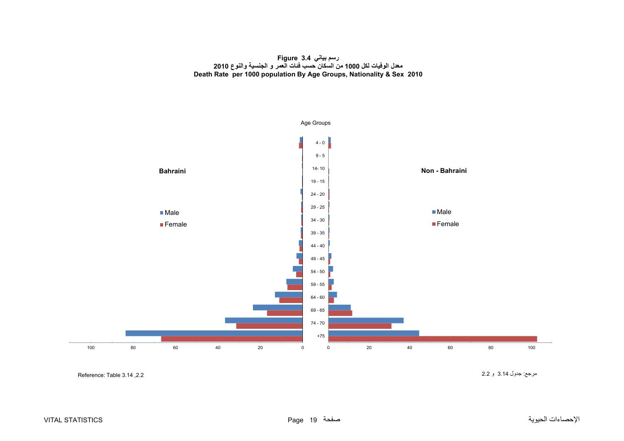#### **رسم بياني 3.4 Figure معدل الوفيات لكل <sup>1000</sup> من السكان حسب فئات العمر <sup>و</sup> الجنسية والنوع <sup>2010</sup> Death Rate per 1000 population By Age Groups, Nationality & Sex 2010**

<span id="page-19-0"></span>

Reference: Table 3.14, 2.2

مرجع: جدول 3.14 <sup>و</sup> 2.2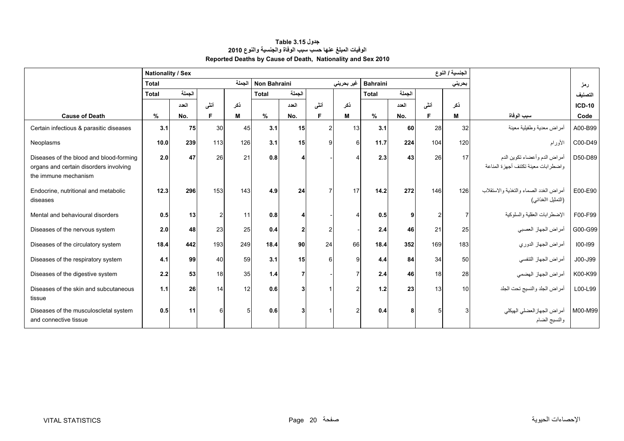<span id="page-20-0"></span>

|                                                                | <b>Nationality / Sex</b> |        |      |        |              |                 |               |            |                 |        |      | الجنسية / النوع |                                                        |               |
|----------------------------------------------------------------|--------------------------|--------|------|--------|--------------|-----------------|---------------|------------|-----------------|--------|------|-----------------|--------------------------------------------------------|---------------|
|                                                                | <b>Total</b>             |        |      | الجملة | Non Bahraini |                 |               | غير بحريني | <b>Bahraini</b> |        |      | بحريني          |                                                        | رمز           |
|                                                                | <b>Total</b>             | الجملة |      |        | <b>Total</b> | الجملة          |               |            | <b>Total</b>    | الجملة |      |                 |                                                        | التصنيف       |
|                                                                |                          | العدد  | أنشى | ذكر    |              | العدد           | أننى          | نكر        |                 | العدد  | أننى | نكر             |                                                        | <b>ICD-10</b> |
| <b>Cause of Death</b>                                          | %                        | No.    | F    | M      | $\%$         | No.             | F             | м          | $\%$            | No.    | F    | M               | سبب الوفاة                                             | Code          |
| Certain infectious & parasitic diseases                        | 3.1                      | 75     | 30   | 45     | 3.1          | 15 <sub>l</sub> | 2             | 13         | 3.1             | 60     | 28   | 32 <sub>l</sub> | أمراض معدية وطفيلية معينة                              | A00-B99       |
| Neoplasms                                                      | 10.0                     | 239    | 113  | 126    | 3.1          | 15              | q             | $6 \mid$   | 11.7            | 224    | 104  | 120             | الأورام                                                | C00-D49       |
| Diseases of the blood and blood-forming                        | 2.0                      | 47     | 26   | 21     | 0.8          | 4               |               |            | 2.3             | 43     | 26   | 17              | أمراض الدم وأعضاء تكوين الدم                           | D50-D89       |
| organs and certain disorders involving<br>the immune mechanism |                          |        |      |        |              |                 |               |            |                 |        |      |                 | واضطرابات معينة تكتنف أجهزة المناعة                    |               |
| Endocrine, nutritional and metabolic                           | 12.3                     | 296    | 153  | 143    | 4.9          | 24              | 7             | 17         | 14.2            | 272    | 146  | 126             | أمراض الغدد الصماء والتغذية والاستقلاب                 | E00-E90       |
| diseases                                                       |                          |        |      |        |              |                 |               |            |                 |        |      |                 | (التمثيل االغذائبي)                                    |               |
| Mental and behavioural disorders                               | 0.5                      | 13     |      | 11     | 0.8          | 4               |               |            | 0.5             | 9      | 2    |                 | الإضطرابات العقلية والسلوكية                           | F00-F99       |
| Diseases of the nervous system                                 | 2.0                      | 48     | 23   | 25     | 0.4          | $\overline{2}$  | $\mathcal{P}$ |            | 2.4             | 46     | 21   | 25              | أمراض الجهاز العصبي                                    | G00-G99       |
| Diseases of the circulatory system                             | 18.4                     | 442    | 193  | 249    | 18.4         | 90 <sub>l</sub> | 24            | 66         | 18.4            | 352    | 169  | 183             | أمراض الجهاز الدوري                                    | 100-199       |
| Diseases of the respiratory system                             | 4.1                      | 99     | 40   | 59     | 3.1          | 15              |               | q          | 4.4             | 84     | 34   | 50              | أمراض الجهاز التنفسي                                   | J00-J99       |
| Diseases of the digestive system                               | 2.2                      | 53     | 18   | 35     | 1.4          | $\overline{7}$  |               |            | 2.4             | 46     | 18   | 28              | أمراض الجهاز الهضمى                                    | K00-K99       |
| Diseases of the skin and subcutaneous<br>tissue                | 1.1                      | 26     | 14   | 12     | 0.6          | 3               |               |            | 1.2             | 23     | 13   | 10              | أمراض الجلد والنسيج تحت الجلد                          | L00-L99       |
| Diseases of the musculoscletal system<br>and connective tissue | 0.5                      | 11     | 6    | 5      | 0.6          | 3               |               |            | 0.4             | 8      |      |                 | M00-M99   أمراض الجهاز العضلي الهيكلي<br>والنسيج الضام |               |

## **جدول 3.15 Table الوفيات المبلغ عنھا حسب سبب الوفاة والجنسية والنوع <sup>2010</sup> Reported Deaths by Cause of Death, Nationality and Sex 2010**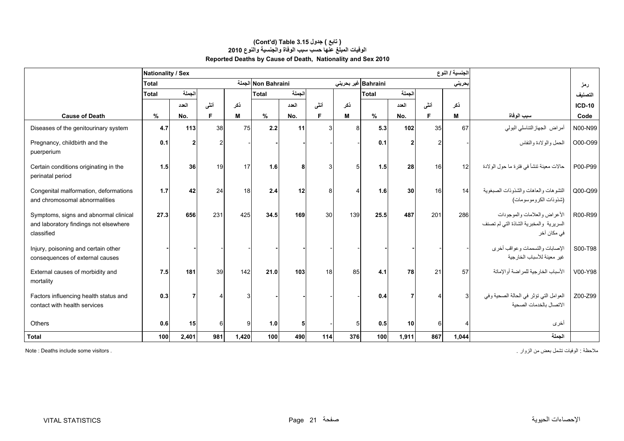|                                                                                              | <b>Nationality / Sex</b> |        |                 |       |                     |        |      |     |                     |                 |      | الجنسية / النوع |                                                                                       |               |
|----------------------------------------------------------------------------------------------|--------------------------|--------|-----------------|-------|---------------------|--------|------|-----|---------------------|-----------------|------|-----------------|---------------------------------------------------------------------------------------|---------------|
|                                                                                              | <b>Total</b>             |        |                 |       | Non Bahraini الجملة |        |      |     | Bahraini غير بحريني |                 |      | بحريني          |                                                                                       | رمز           |
|                                                                                              | <b>Total</b>             | الجملة |                 |       | <b>Total</b>        | الجملة |      |     | <b>Total</b>        | الجملة          |      |                 |                                                                                       | التصنيف       |
|                                                                                              |                          | العدد  | أنشى            | نكر   |                     | العدد  | أنشى | نكر |                     | العدد           | أننى | ذكر             |                                                                                       | <b>ICD-10</b> |
| <b>Cause of Death</b>                                                                        | %                        | No.    | F.              | M     | $\%$                | No.    | F    | м   | $\%$                | No.             | F.   | М               | سبب الوفاة                                                                            | Code          |
| Diseases of the genitourinary system                                                         | 4.7                      | 113    | 38              | 75    | 2.2                 | 11     | З    | 8   | 5.3                 | 102             | 35   | 67              | أمراض الجهازالتناسلي البولي                                                           | N00-N99       |
| Pregnancy, childbirth and the<br>puerperium                                                  | 0.1                      |        |                 |       |                     |        |      |     | 0.1                 | $\mathbf{2}$    |      |                 | الحمل والو لادة والنفاس                                                               | O00-O99       |
| Certain conditions originating in the<br>perinatal period                                    | 1.5                      | 36     | 19              | 17    | 1.6                 | 8      | З    |     | 1.5                 | 28              | 16   | 12 <sup>1</sup> | حالات معينة تنشأ في فترة ما حول الولادة                                               | P00-P99       |
| Congenital malformation, deformations<br>and chromosomal abnormalities                       | 1.7                      | 42     | 24              | 18    | 2.4                 | 12     | 8    |     | 1.6                 | 30 <sup>1</sup> | 16   | 14              | التشوهات والعاهات والشذوذات الصبغوية<br>(شذوذات الكر وموسومات)                        | Q00-Q99       |
| Symptoms, signs and abnormal clinical<br>and laboratory findings not elsewhere<br>classified | 27.3                     | 656    | 231             | 425   | 34.5                | 169    | 30   | 139 | 25.5                | 487             | 201  | 286             | الأعراض والعلامات والموجودات<br>السريرية والمخبرية الشاذة التي لم تصنف<br>في مكان آخر | R00-R99       |
| Injury, poisoning and certain other<br>consequences of external causes                       |                          |        |                 |       |                     |        |      |     |                     |                 |      |                 | الإصابات والتسممات و عواقب أخر ي<br>غير معينة للأسباب الخارجية                        | S00-T98       |
| External causes of morbidity and<br>mortality                                                | 7.5                      | 181    | 39 <sup>1</sup> | 142   | 21.0                | 103    | 18   | 85  | 4.1                 | 78              | 21   | 57              | الأسباب الخارجية للمراضة أوالإماتة                                                    | V00-Y98       |
| Factors influencing health status and<br>contact with health services                        | 0.3                      |        |                 | З     |                     |        |      |     | 0.4                 |                 |      | 3               | العوامل التي تؤثر في الحالة الصحية وفي<br>الاتصال بالخدمات الصحية                     | Z00-Z99       |
| Others                                                                                       | 0.6                      | 15     | $6 \mid$        | g     | 1.0                 | 5      |      | 5   | 0.5                 | 10 <sup>1</sup> | 6    |                 | أخرى                                                                                  |               |
| <b>Total</b>                                                                                 | 100                      | 2,401  | 981             | 1,420 | 100                 | 490    | 114  | 376 | 100                 | 1,911           | 867  | 1,044           | الجملة                                                                                |               |

#### **Reported Deaths by Cause of Death, Nationality and Sex 2010 (Cont'd) Table 3.15 جدول ) تابع( الوفيات المبلغ عنھا حسب سبب الوفاة والجنسية والنوع <sup>2010</sup>**

مالحظة : الوفيات تشمل بعض من الزوار . . visitors some include Deaths : Note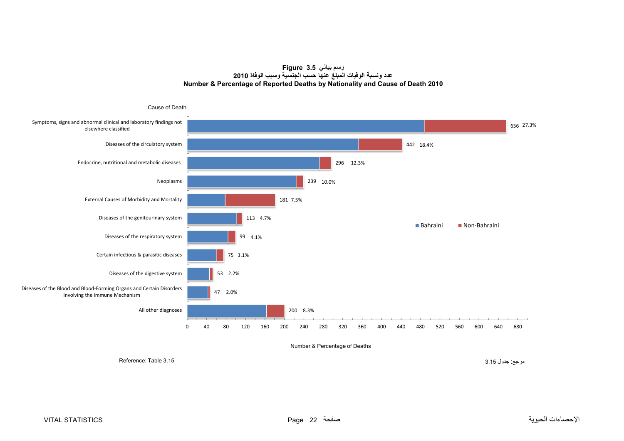**رسم بياني 3.5 Figure عدد ونسبة الوفيات المبلغ عنھا حسب الجنسية وسبب الوفاة <sup>2010</sup> Number & Percentage of Reported Deaths by Nationality and Cause of Death 2010**

<span id="page-22-0"></span>

#### Number & Percentage of Deaths

مرجع: جدول 3.15 3.15 Table :Reference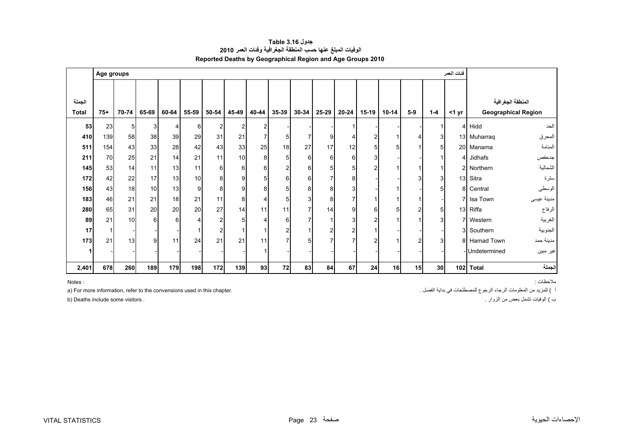<span id="page-23-0"></span>

|              | Age groups |       |       |       |       |                |        |                |                |       |       |                          |                |           |       |         | فنات العمر |                |                            |
|--------------|------------|-------|-------|-------|-------|----------------|--------|----------------|----------------|-------|-------|--------------------------|----------------|-----------|-------|---------|------------|----------------|----------------------------|
|              |            |       |       |       |       |                |        |                |                |       |       |                          |                |           |       |         |            |                |                            |
| الجملة       |            |       |       |       |       |                |        |                |                |       |       |                          |                |           |       |         |            |                | المنطقة الجغرافية          |
| <b>Total</b> | $75+$      | 70-74 | 65-69 | 60-64 | 55-59 | 50-54          | 45-49  | 40-44          | 35-39          | 30-34 | 25-29 | $20 - 24$                | $15-19$        | $10 - 14$ | $5-9$ | $1 - 4$ | <1 yr      |                | <b>Geographical Region</b> |
| 53           | 23         | 5     | 3     | 4     | 6     | $\overline{2}$ | 2      | 2              |                |       |       |                          |                |           |       |         |            | 4 Hidd         | الحد                       |
| 410          | 139        | 58    | 38    | 39    | 29    | 31             | 21     |                | 5              |       | 9     |                          | 2              |           |       | 3       |            | 13 Muharraq    | المحرق                     |
| 511          | 154        | 43    | 33    | 28    | 42    | 43             | 33     | 25             | 18             | 27    | 17    | 12                       | 5              |           |       | 5       |            | 20 Manama      | المنامة                    |
| 211          | 70         | 25    | 21    | 14    | 21    | 11             | 10     | 8 <sub>l</sub> | 5              | 6     | 6     | 6                        | 3              |           |       |         |            | 4 Jidhafs      | جدحفص                      |
| 145          | 53         | 14    | 11    | 13    | 11    | 6              | $6 \,$ | $6 \mid$       | $\overline{2}$ | 6     | 5     | 5                        | $\overline{2}$ |           |       |         |            | 2 Northern     | الشمالية                   |
| 172          | 42         | 22    | 17    | 13    | 10    | 8              | 9      | 5              | 6              | 6     |       | 8                        |                |           |       | 3       |            | 13 Sitra       | سترة                       |
| 156          | 43         | 18    | 10    | 13    | 9     | 8              | 9      | 8              | 5              | 8     | 8     | 3                        |                |           |       | 5       |            | 8 Central      | الوسطى                     |
| 183          | 46         | 21    | 21    | 18    | 21    | 11             | 8      |                | 5              | 3     | 8     | $\overline{7}$           |                |           |       |         |            | 7 Isa Town     | مدينة عيسى                 |
| 280          | 65         | 31    | 20    | 20    | 20    | 27             | 14     | 11             | 11             | 7     | 14    | 9                        | 6              | 5         |       | 5       |            | 13 Riffa       | الرفاع                     |
| 89           | 21         | 10    | 6     | 6     | Λ     | $\overline{2}$ | 5      |                | 6              |       |       | 3                        | 2              |           |       | 3       |            | 7 Western      | الغربية                    |
| 17           |            |       |       |       |       | $\overline{2}$ |        |                |                |       | 2     | $\overline{2}$           |                |           |       |         |            | 3 Southern     | الجنوبية                   |
| 173          | 21         | 13    | 9     | 11    | 24    | 21             | 21     | 11             |                | 5     |       | $\overline{\phantom{a}}$ | $\overline{c}$ |           | ົ     | 3       |            | 8 Hamad Town   | مدينة حمد                  |
|              |            |       |       |       |       |                |        |                |                |       |       |                          |                |           |       |         |            | - Undetermined | غير مبين                   |
| 2,401        | 678        | 260   | 189   | 179   | 198   | 172            | 139    | 93             | 72             | 83    | 84    | 67                       | 24             | 16        | 15    | 30      |            | 102 Total      | الجملة                     |

**جدول 3.16 Table الوفيات المبلغ عنھا حسب المنطقة الجغرافية وفئات العمر <sup>2010</sup> Reported Deaths by Geographical Region and Age Groups 2010** 

مالحظات : : NotesNotes:

<sup>ب</sup> ) الوفيات تشمل بعض من الزوار . . visitors some include Deaths) b

a) For more information, refer to the convensions used in this chapter. المطلومات الرجاء الرجوع للمصطلحات في بداية الفصل .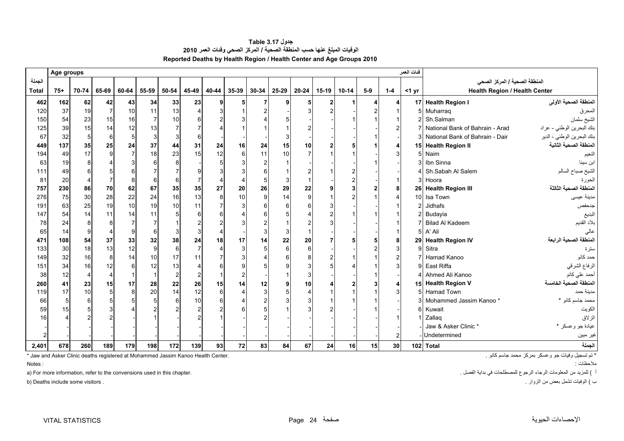**جدول 3.17 Table الوفيات المبلغ عنھا حسب المنطقة الصحية / المركز الصحي وفئات العمر <sup>2010</sup> Reported Deaths by Health Region / Health Center and Age Groups 2010** 

<span id="page-24-0"></span>

|              | Age groups |                |       |                |                |                |                                                                                  |                       |                  |              |       |              |         |           |       |                | فنات العمر     |                                      |                                                  |
|--------------|------------|----------------|-------|----------------|----------------|----------------|----------------------------------------------------------------------------------|-----------------------|------------------|--------------|-------|--------------|---------|-----------|-------|----------------|----------------|--------------------------------------|--------------------------------------------------|
| الجملة       |            |                |       |                |                |                |                                                                                  |                       |                  |              |       |              |         |           |       |                |                | المنطقة الصحية / المركز الصحي        |                                                  |
| <b>Total</b> | $75+$      | 70-74          | 65-69 | 60-64          | 55-59          | 50-54          | 45-49                                                                            | 40-44                 | $35 - 39$        | 30-34        | 25-29 | $20 - 24$    | $15-19$ | $10 - 14$ | $5-9$ | $1 - 4$        | $<$ 1 yr       | <b>Health Region / Health Center</b> |                                                  |
| 462          | 162        | 62             | 42    | 43             | 34             | 33             | 23                                                                               | 9                     | 5                |              | q     | 5            | 2       |           |       | 4              |                | 17 Health Region I                   | المنطقة الصحية الأولى                            |
| 120          | 37         | 19             |       | 10             | 11             | 13             |                                                                                  | 3                     |                  |              |       |              |         |           |       |                | 5              | Muharrag                             | المحرق                                           |
| 150          | 54         | 23             | 15    | 16             | $\overline{7}$ | 10             |                                                                                  |                       |                  |              |       |              |         |           |       |                | $\overline{2}$ | Sh.Salman                            | الشيخ سلمان                                      |
| 125          | 39         | 15             | 14    | 12             | 13             |                |                                                                                  |                       |                  |              |       |              |         |           |       |                |                | National Bank of Bahrain - Arad      | بنك البحرين الوطني - عراد                        |
| 67           | 32         | 5 <sub>5</sub> | 6     | 5              | 3              |                | 6                                                                                |                       |                  |              |       |              |         |           |       |                |                | 3 National Bank of Bahrain - Dair    | بنك البحرين الوطني - الدير                       |
| 449          | 137        | 35             | 25    | 24             | 37             | 44             | 31                                                                               | 24                    | 16               | 24           | 15    | 10           |         |           |       | 4              |                | 15 Health Region II                  | المنطقة الصحية الثانية                           |
| 194          | 49         | 17             | 9     | $\overline{7}$ | 18             | 23             | 15                                                                               | 12                    | $\,6\,$          | 11           | 10    |              |         |           |       | 3              | 51             | Naim                                 | النعيم                                           |
| 63           | 19         | 8              |       |                | 6              | 8              |                                                                                  | 5                     | 3                |              |       |              |         |           |       |                | 3              | Ibn Sinna                            | ابن سينا                                         |
| 111          | 49         |                |       |                |                |                |                                                                                  |                       |                  |              |       |              |         |           |       |                |                | Sh.Sabah Al Salem                    | الشيخ صباح السالم                                |
| 81           | 20         |                |       | 8              | 6              | 6              |                                                                                  | $\boldsymbol{\Delta}$ | $\overline{4}$   |              | 3     |              |         |           |       |                | 3 <sup>1</sup> | Hoora                                | الحورة                                           |
| 757          | 230        | 86             | 70    | 62             | 67             | 35             | 35                                                                               | 27                    | 20               | 26           | 29    | 22           |         |           |       | 8              |                | 26 Health Region III                 | المنطقة الصحية الثالثة                           |
| 276          | 75         | 30             | 28    | 22             | 24             | 16             | 13                                                                               | 8                     | 10               | 9            | 14    | $\mathbf{Q}$ |         |           |       |                |                | 10 Isa Town                          | مدينة عيسى                                       |
| 191          | 63         | 25             | 19    | 10             | 19             | 10             | 11                                                                               | $\overline{7}$        | 3                |              |       |              |         |           |       |                | 2              | <b>Jidhafs</b>                       | جدحفص                                            |
| 147          | 54         | 14             | 11    | 14             | 11             |                | 6                                                                                | 6                     |                  |              |       |              |         |           |       |                |                | Budayia                              | البديع                                           |
| 78           | 24         |                |       |                |                |                |                                                                                  |                       | 3                |              |       |              |         |           |       |                |                | <b>Bilad Al Kadeem</b>               | بلاد القديم                                      |
| 65           | 14         |                |       | 9              | 6              |                | 3                                                                                |                       |                  |              |       |              |         |           |       |                | 51             | A' Ali                               | عالى                                             |
| 471          | 108        | 54             | 37    | 33             | 32             | 38             | 24                                                                               | 18                    | 17               | 14           | 22    | 20           |         |           |       | 8              |                | 29 Health Region IV                  | المنطقة الصحية الرابعة                           |
| 133          | 30         | 18             | 13    | 12             | 9              | 6              |                                                                                  | Δ                     | 3                | 5            | 6     | 6            |         |           |       | 3              | 9              | Sitra                                | سترة                                             |
| 149          | 32         | 16             | 8     | 14             | 10             | 17             | 11                                                                               |                       | 3                |              |       |              |         |           |       |                |                | Hamad Kanoo                          | حمد كانو                                         |
| 151          | 34         | 16             | 12    | 6              | 12             | 13             |                                                                                  | 6                     | 9                |              |       |              |         |           |       | 3              | 9              | East Riffa                           | الرفاع الشرقي                                    |
| 38           | 12         | 4              |       |                |                | $\overline{2}$ | $\overline{2}$                                                                   |                       | $\boldsymbol{2}$ |              |       |              |         |           |       |                |                | 4 Ahmed Ali Kanoo                    | أحمد علي كانو                                    |
| 260          | 41         | 23             | 15    | 17             | 28             | 22             | 26                                                                               | 15                    | 14               | 12           |       | 10           |         |           |       | 4              |                | 15 Health Region V                   | المنطقة الصحية الخامسة                           |
| 119          | 17         | 10             |       | 8              | 20             | 14             | 12                                                                               | 6                     | $\overline{4}$   | $\mathbf{3}$ |       |              |         |           |       | 3              | г,             | <b>Hamad Town</b>                    | مدينة حمد                                        |
| 66           | 5          |                |       |                | 5              | 6              | 10                                                                               | 6                     |                  |              |       |              |         |           |       |                | $\overline{3}$ | Mohammed Jassim Kanoo*               | محمد جاسم كانو *                                 |
| 59           | 15         |                |       |                |                |                | 2                                                                                |                       |                  |              |       |              |         |           |       |                | 6              | Kuwait                               | الكويت                                           |
| 16           |            |                |       |                |                |                |                                                                                  |                       |                  |              |       |              |         |           |       |                |                | 1 Zallag                             | الزلاق                                           |
|              |            |                |       |                |                |                |                                                                                  |                       |                  |              |       |              |         |           |       |                |                | Jaw & Asker Clinic *                 | عيادة جو وعسكر *                                 |
| 2            |            |                |       |                |                |                |                                                                                  |                       |                  |              |       |              |         |           |       | $\overline{2}$ |                | Undetermined                         | غير مبين                                         |
| 2,401        | 678        | 260            | 189   | 179            | 198            | 172            | 139                                                                              | 93                    | 72               | 83           | 84    | 67           | 24      | 16        | 15    | 30             |                | 102 Total                            | الجملة                                           |
|              |            |                |       |                |                |                | * Jaw and Asker Clinic deaths registered at Mohammed Jassim Kanoo Health Center. |                       |                  |              |       |              |         |           |       |                |                |                                      | * تم تسجيل وفيات جو وعسكر بمركز محمد جاسم كانو . |

Notes:

a) For more information, refer to the convensions used in this chapter. الفريد من المعلومات الرجاء الرجوع للمصطلحات في بداية الفصل .

<sup>ب</sup> ) الوفيات تشمل بعض من الزوار . . visitors some include Deaths) b

مالحظات : : Notes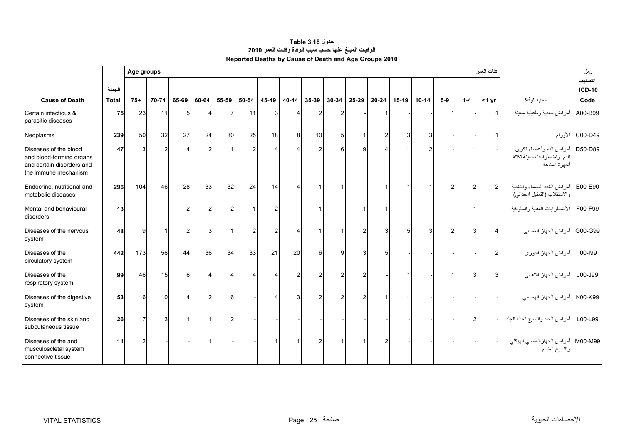<span id="page-25-0"></span>

|                                                                                                        |              | Age groups |       |       |                |       |                |                |       |               |       |       |           |         |              |                |               | فنات العمر    |                                                                        | رمز                      |
|--------------------------------------------------------------------------------------------------------|--------------|------------|-------|-------|----------------|-------|----------------|----------------|-------|---------------|-------|-------|-----------|---------|--------------|----------------|---------------|---------------|------------------------------------------------------------------------|--------------------------|
|                                                                                                        | الجملة       |            |       |       |                |       |                |                |       |               |       |       |           |         |              |                |               |               |                                                                        | التصنيف<br><b>ICD-10</b> |
| <b>Cause of Death</b>                                                                                  | <b>Total</b> | $75+$      | 70-74 | 65-69 | 60-64          | 55-59 | 50-54          | 45-49          | 40-44 | 35-39         | 30-34 | 25-29 | $20 - 24$ | $15-19$ | $10 - 14$    | $5-9$          | $1 - 4$       | $<$ 1 yr      | سبب الوفاة                                                             | Code                     |
| Certain infectious &<br>parasitic diseases                                                             | 75           | 23         | 11    | 5     | 4              |       | 11             | 3              |       | $\mathcal{P}$ | 2     |       |           |         |              |                |               |               | أمراض معدية وطفيلية معينة                                              | A00-B99                  |
| Neoplasms                                                                                              | 239          | 50         | 32    | 27    | 24             | 30    | 25             | 18             | 8     | 10            | 5     |       |           | 3       | 3            |                |               |               |                                                                        | C00-D49   الأورام        |
| Diseases of the blood<br>and blood-forming organs<br>and certain disorders and<br>the immune mechanism | 47           |            |       |       | $\mathcal{P}$  |       | $\mathcal{P}$  |                |       |               |       | 9     |           |         | 2            |                |               |               | أمراض الدم وأعضاء تكوين<br>الدم واضطرابات معينة تكتنف<br>أجهزة المناعة | D50-D89                  |
| Endocrine, nutritional and<br>metabolic diseases                                                       | 296          | 104        | 46    | 28    | 33             | 32    | 24             | 14             |       |               |       |       |           |         | $\mathbf{1}$ | $\overline{2}$ | $\mathcal{P}$ | $\mathcal{P}$ | أمراض الغدد الصماء والتغذية<br>والاستقلاب (التمثيل االغذائبي)          | E00-E90                  |
| Mental and behavioural<br>disorders                                                                    | 13           |            |       |       | $\overline{2}$ |       |                |                |       |               |       |       |           |         |              |                |               |               | الأضطرابات العقلية والسلوكية                                           | F00-F99                  |
| Diseases of the nervous<br>system                                                                      | 48           | Й          |       | 2     | 3              |       | $\overline{2}$ | $\overline{2}$ |       |               |       |       |           | 5       | 3            | 2              |               |               | أمراض الجهاز العصبي                                                    | G00-G99                  |
| Diseases of the<br>circulatory system                                                                  | 442          | 173        | 56    | 44    | 36             | 34    | 33             | 21             | 20    |               | O     | 3     |           |         |              |                |               |               | أمراض الجهاز الدوري                                                    | 100-199                  |
| Diseases of the<br>respiratory system                                                                  | 99           | 46         | 15    | 6     | 4              |       | Δ              |                |       |               | າ     |       |           |         |              |                |               |               | أمراض الجهاز التنفسي                                                   | J00-J99                  |
| Diseases of the digestive<br>system                                                                    | 53           | 16         | 10    | Δ     | $\overline{2}$ |       |                |                |       |               |       |       |           |         |              |                |               |               | أمراض الجهاز الهضمي                                                    | K00-K99                  |
| Diseases of the skin and<br>subcutaneous tissue                                                        | 26           | 17         | 3     |       |                |       |                |                |       |               |       |       |           |         |              |                |               |               | أمراض الجلد والنسيج تحت الجلد                                          | L00-L99                  |
| Diseases of the and<br>musculoscletal system<br>connective tissue                                      | 11           |            |       |       |                |       |                |                |       |               |       |       |           |         |              |                |               |               | M00-M99   أمراض الجهاز العضلي الهيكلي<br>والنسيج الضام                 |                          |

### **جدول 3.18 Table الوفيات المبلغ عنھا حسب سبب الوفاة وفئات العمر <sup>2010</sup> Reported Deaths by Cause of Death and Age Groups 2010**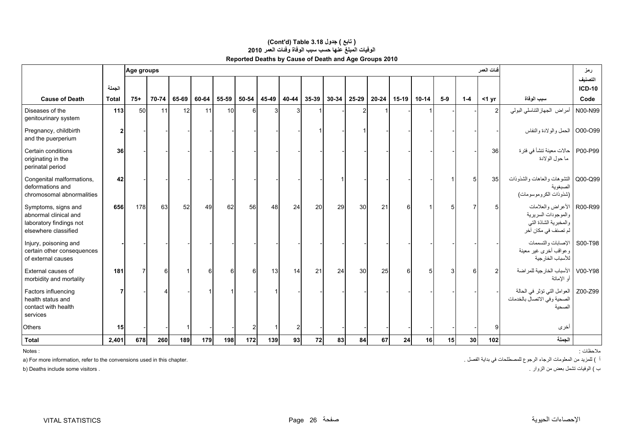|                                                                                                 |              |       | فنات العمر<br>Age groups |       |       |       |       |       |       |       |       |       |           |         | رمز       |                 |                 |                 |                                                                                          |                          |
|-------------------------------------------------------------------------------------------------|--------------|-------|--------------------------|-------|-------|-------|-------|-------|-------|-------|-------|-------|-----------|---------|-----------|-----------------|-----------------|-----------------|------------------------------------------------------------------------------------------|--------------------------|
|                                                                                                 | الجملة       |       |                          |       |       |       |       |       |       |       |       |       |           |         |           |                 |                 |                 |                                                                                          | التصنيف<br><b>ICD-10</b> |
| <b>Cause of Death</b>                                                                           | <b>Total</b> | $75+$ | 70-74                    | 65-69 | 60-64 | 55-59 | 50-54 | 45-49 | 40-44 | 35-39 | 30-34 | 25-29 | $20 - 24$ | $15-19$ | $10 - 14$ | $5-9$           | $1-4$           | $<$ 1 yr        | سبب الوفاة                                                                               | Code                     |
| Diseases of the<br>genitourinary system                                                         | 113          | 50    | 11                       | 12    | 11    | 10    | 6     | 3     |       |       |       |       |           |         |           |                 |                 | $\mathcal{P}$   | أمراض الجهاز التناسلي البولي                                                             | N00-N99                  |
| Pregnancy, childbirth<br>and the puerperium                                                     | 2            |       |                          |       |       |       |       |       |       |       |       |       |           |         |           |                 |                 |                 | O00-O99   الحمل والولادة والنفاس                                                         |                          |
| Certain conditions<br>originating in the<br>perinatal period                                    | 36           |       |                          |       |       |       |       |       |       |       |       |       |           |         |           |                 |                 | <b>36</b>       | حالات معينة تنشأ في فترة<br>ما حول الولادة                                               | P00-P99                  |
| Congenital malformations,<br>deformations and<br>chromosomal abnormalities                      | 42           |       |                          |       |       |       |       |       |       |       |       |       |           |         |           |                 |                 | 35 <sub>l</sub> | التشوهات والعاهات والشذوذات<br>الصبغوية<br>(شذوذات الكروموسومات)                         | Q00-Q99                  |
| Symptoms, signs and<br>abnormal clinical and<br>laboratory findings not<br>elsewhere classified | 656          | 178   | 63                       | 52    | 49    | 62    | 56    | 48    | 24    | 20    | 29    | 30    | 21        | 6       |           | 5               |                 |                 | الأعراض والعلامات<br>والموجودات السريرية<br>والمخبرية الشاذة التي<br>لم تصنف في مكان أخر | R00-R99                  |
| Injury, poisoning and<br>certain other consequences<br>of external causes                       |              |       |                          |       |       |       |       |       |       |       |       |       |           |         |           |                 |                 |                 | الإصابات والتسممات<br>وعواقب أخرى غير معينة<br>للأسباب الخارجية                          | S00-T98                  |
| External causes of<br>morbidity and mortality                                                   | 181          |       |                          |       | 6     | 6     | 6     | 13    | 14    | 21    | 24    | 30    | 25        | 6       |           |                 |                 |                 | الأسباب الخارجية للمراضة<br>أو الإماتة                                                   | V00-Y98                  |
| Factors influencing<br>health status and<br>contact with health<br>services                     |              |       |                          |       |       |       |       |       |       |       |       |       |           |         |           |                 |                 |                 | العوامل التي تؤثر في الحالة<br>الصحية وفي الاتصال بالخدمات<br>الصحنة                     | Z00-Z99                  |
| Others                                                                                          | 15           |       |                          |       |       |       |       |       | 2     |       |       |       |           |         |           |                 |                 | q               | أخرى                                                                                     |                          |
| <b>Total</b>                                                                                    | 2,401        | 678   | 260                      | 189   | 179   | 198   | 172   | 139   | 93    | 72    | 83    | 84    | 67        | 24      | 16        | 15 <sup>1</sup> | 30 <sup>1</sup> | 102             | الجملة                                                                                   |                          |

#### **Reported Deaths by Cause of Death and Age Groups 2010 (Cont'd) Table 3.18 جدول ) تابع( الوفيات المبلغ عنھا حسب سبب الوفاة وفئات العمر <sup>2010</sup>**

Notes:

a) For more information, refer to the convensions used in this chapter. " ) للمزيد من المعلومات الرجاء الرجوع للمصطلحات في بداية الفصل ب

<sup>ب</sup> ) الوفيات تشمل بعض من الزوار . . visitors some include Deaths) b

مالحظات : : Notes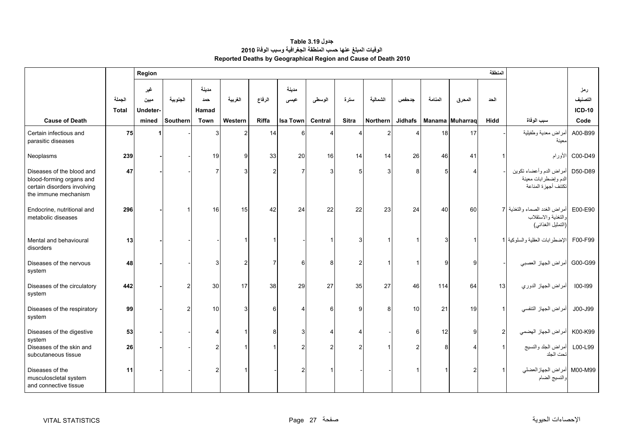<span id="page-27-0"></span>

|                                                                                                              |              | Region      |          |               |              |                |                 |                  |              |          |                |                 |                | المنطقة        |                                                                             |                |
|--------------------------------------------------------------------------------------------------------------|--------------|-------------|----------|---------------|--------------|----------------|-----------------|------------------|--------------|----------|----------------|-----------------|----------------|----------------|-----------------------------------------------------------------------------|----------------|
|                                                                                                              | الجملة       | غير<br>ميين | الجنوبية | مدينة<br>حمد  | الغربية      | الرفاع         | مدينة<br>عيسى   | الوسطى           | سترة         | الشمالية | جدحفص          | المنامة         | المحرق         | الحد           |                                                                             | رمز<br>التصنيف |
|                                                                                                              | <b>Total</b> | Undeter-    |          | Hamad         |              |                |                 |                  |              |          |                |                 |                |                |                                                                             | <b>ICD-10</b>  |
| <b>Cause of Death</b>                                                                                        |              | mined       | Southern | <b>Town</b>   | Western      | Riffa          | <b>Isa Town</b> | Central          | <b>Sitra</b> | Northern | <b>Jidhafs</b> | Manama Muharraq |                | Hidd           | سبب الوفاة                                                                  | Code           |
| Certain infectious and<br>parasitic diseases                                                                 | 75           |             |          |               |              | 14             | 6               |                  |              |          |                | 18              | 17             |                | أمراض معدية وطفيلية<br>ىعينة                                                | A00-B99        |
| Neoplasms                                                                                                    | 239          |             |          | 19            | $\mathbf{Q}$ | 33             | 20              | 16               | 14           | 14       | 26             | 46              | 41             |                | الأورام                                                                     | C00-D49        |
| Diseases of the blood and<br>blood-forming organs and<br>certain disorders involving<br>the immune mechanism | 47           |             |          |               |              | $\overline{2}$ | 7               | 3                | 5            |          | 8              | 5               |                |                | أمراض الدم وأعضاء تكوين<br>الدم وإضطرابات معينة<br>تكتنف أجهزة المناعة      | D50-D89        |
| Endocrine, nutritional and<br>metabolic diseases                                                             | 296          |             |          | 16            | 15           | 42             | 24              | 22               | 22           | 23       | 24             | 40              | 60             |                | أمراض الغدد الصماء والتغذية 7<br>والتغذية والاستقلاب<br>(التمثيل االغذائبي) | E00-E90        |
| Mental and behavioural<br>disorders                                                                          | 13           |             |          |               |              |                |                 |                  |              |          |                | З               |                |                | الإضطرابات العقلية والسلوكية 1                                              | F00-F99        |
| Diseases of the nervous<br>system                                                                            | 48           |             |          |               |              | 7              | 6               | 8                | 2            |          |                | O               | g              |                | أمراض الجهاز العصبي                                                         | G00-G99        |
| Diseases of the circulatory<br>system                                                                        | 442          |             |          | 30            | 17           | 38             | 29              | 27               | 35           | 27       | 46             | 114             | 64             | 13             | أمراض الجهاز الدوري                                                         | 100-199        |
| Diseases of the respiratory<br>system                                                                        | 99           |             |          | 10            |              | 6              |                 | $6\phantom{1}6$  | 9            | 8        | 10             | 21              | 19             |                | أمراض الجهاز التنفسي                                                        | J00-J99        |
| Diseases of the digestive<br>system                                                                          | 53           |             |          |               |              | 8              | 3               | $\boldsymbol{4}$ |              |          | 6              | 12              | g              | $\overline{2}$ | أمراض الجهاز الهضمي                                                         | K00-K99        |
| Diseases of the skin and<br>subcutaneous tissue                                                              | 26           |             |          |               |              |                |                 | $\mathcal{P}$    | 2            |          |                | Я               |                |                | أمراض الجلد والنسيج<br>تحت الجلد                                            | L00-L99        |
| Diseases of the<br>musculoscletal system<br>and connective tissue                                            | 11           |             |          | $\mathcal{P}$ |              |                |                 |                  |              |          |                |                 | $\mathfrak{p}$ |                | M00-M99 أمراض الجهاز العضلي<br>والنسيج الضام                                |                |

### **جدول 3.19 Table الوفيات المبلغ عنھا حسب المنطقة الجغرافية وسبب الوفاة <sup>2010</sup> Reported Deaths by Geographical Region and Cause of Death 2010**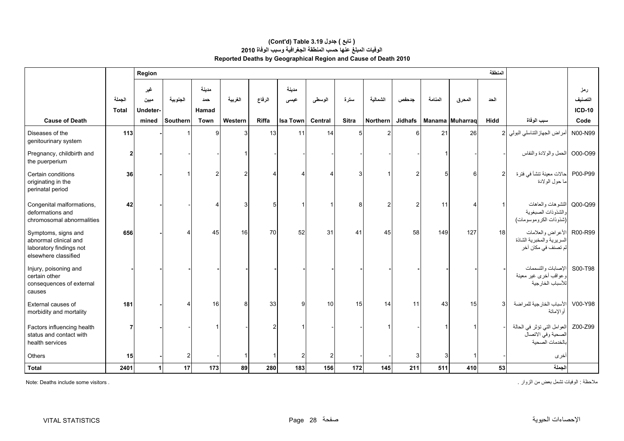#### **Reported Deaths by Geographical Region and Cause of Death 2010 (Cont'd) Table 3.19 جدول ) تابع( الوفيات المبلغ عنھا حسب المنطقة الجغرافية وسبب الوفاة <sup>2010</sup>**

|                                                                                                 |                        | Region                  | لمنطقة         |                       |         |              |                |                         |              |                 |                |         |                 |             |                                                                               |                                 |
|-------------------------------------------------------------------------------------------------|------------------------|-------------------------|----------------|-----------------------|---------|--------------|----------------|-------------------------|--------------|-----------------|----------------|---------|-----------------|-------------|-------------------------------------------------------------------------------|---------------------------------|
|                                                                                                 | الجملة<br><b>Total</b> | غير<br>مبين<br>Undeter- | الجنوبية       | مدينة<br>حمد<br>Hamad | الغربية | الرفاع       | مدينة<br>عيسى  | الوسطى                  | سترة         | الشمالية        | جدحفص          | المنامة | المحرق          | الحد        |                                                                               | رمز<br>التصنيف<br><b>ICD-10</b> |
| <b>Cause of Death</b>                                                                           |                        | mined                   | Southern       | Town                  | Western | <b>Riffa</b> | Isa Town       | Central                 | <b>Sitra</b> | <b>Northern</b> | <b>Jidhafs</b> |         | Manama Muharraq | <b>Hidd</b> | سبب الوفاة                                                                    | Code                            |
| Diseases of the<br>genitourinary system                                                         | 113                    |                         |                | 9                     |         | 13           | 11             | 14                      | 5            | $\overline{2}$  | 6              | 21      | 26              |             | أمراض الجهاز التناسلي البولي 2                                                | N00-N99                         |
| Pregnancy, childbirth and<br>the puerperium                                                     | 2                      |                         |                |                       |         |              |                |                         |              |                 |                |         |                 |             | الحمل والولادة والنفاس                                                        | O00-O99                         |
| Certain conditions<br>originating in the<br>perinatal period                                    | 36                     |                         |                | $\mathcal{P}$         |         |              |                |                         |              |                 | 2              |         | 6               | 2           | حالات معينة تنشأ في فترة<br>ما حول الولادة                                    | P00-P99                         |
| Congenital malformations,<br>deformations and<br>chromosomal abnormalities                      | 42                     |                         |                |                       |         | 5            |                |                         | 8            | $\overline{2}$  | 2              | 11      |                 |             | Q00-Q99 التشوهات والعاهات<br>والشذوذات الصبغوية<br>(شذوذات الكروموسومات)      |                                 |
| Symptoms, signs and<br>abnormal clinical and<br>laboratory findings not<br>elsewhere classified | 656                    |                         |                | 45                    | 16      | 70           | 52             | 31                      | 41           | 45              | 58             | 149     | 127             | 18          | R00-R99 الأعراض والعلامات<br>السريرية والمخبرية الشاذة<br>لم تصنف في مكان أخر |                                 |
| Injury, poisoning and<br>certain other<br>consequences of external<br>causes                    |                        |                         |                |                       |         |              |                |                         |              |                 |                |         |                 |             | S00-T98  الإصابات والتسممات<br>وعواقب أخرى غير معينة<br>للأسباب الخارجية      |                                 |
| External causes of<br>morbidity and mortality                                                   | 181                    |                         |                | 16                    | 8       | 33           | $\overline{9}$ | 10                      | 15           | 14              | 11             | 43      | 15              |             | الأسباب الخارجية للمراضة<br>أو الإماتة                                        | V00-Y98                         |
| Factors influencing health<br>status and contact with<br>health services                        |                        |                         |                |                       |         | 2            |                |                         |              |                 |                |         |                 |             | العوامل التي تؤثر في الحالة<br>الصحية وفي الاتصال<br>بالخدمات الصحبة          | Z00-Z99                         |
| Others                                                                                          | 15                     |                         | $\overline{2}$ |                       |         | 1            | $\mathbf{2}$   | $\overline{\mathbf{c}}$ |              |                 | 3              | 3       |                 |             | أخرى                                                                          |                                 |
| <b>Total</b>                                                                                    | 2401                   | $\blacktriangleleft$    | 17             | 173                   | 89      | 280          | 183            | 156                     | 172          | 145             | 211            | 511     | 410             | 53          | الجملة                                                                        |                                 |

مالحظة : الوفيات تشمل بعض من الزوار . . visitors some include Deaths :Note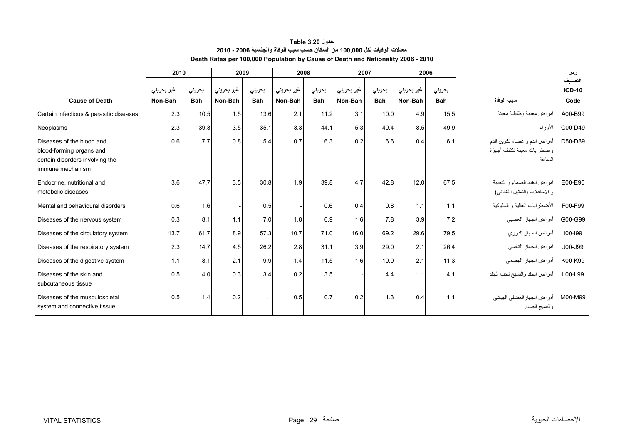| جدول Table 3.20                                                                  |
|----------------------------------------------------------------------------------|
| معلات الوفيات لكل 100,000 من السكان حسب سبب الوفاة والجنسية 2006 - 2010          |
| Death Rates per 100,000 Population by Cause of Death and Nationality 2006 - 2010 |

<span id="page-29-0"></span>

|                                                                                                              | 2010       |            | 2009       |            | 2008       |            | 2007       |            |            | 2006       |                                                                           | رمز           |
|--------------------------------------------------------------------------------------------------------------|------------|------------|------------|------------|------------|------------|------------|------------|------------|------------|---------------------------------------------------------------------------|---------------|
|                                                                                                              |            |            |            |            |            |            |            |            |            |            |                                                                           | التصنيف       |
|                                                                                                              | غیر بحرینی | بحريني     | غير بحريني | بحريني     | غير بحريني | بحريني     | غير بحريني | بحريني     | غير بحريني | بحريني     |                                                                           | <b>ICD-10</b> |
| <b>Cause of Death</b>                                                                                        | Non-Bah    | <b>Bah</b> | Non-Bah    | <b>Bah</b> | Non-Bah    | <b>Bah</b> | Non-Bah    | <b>Bah</b> | Non-Bah    | <b>Bah</b> | سبب الوفاة                                                                | Code          |
| Certain infectious & parasitic diseases                                                                      | 2.3        | 10.5       | 1.5        | 13.6       | 2.1        | 11.2       | 3.1        | 10.0       | 4.9        | 15.5       | أمراض معدية وطفيلية معينة                                                 | A00-B99       |
| Neoplasms                                                                                                    | 2.3        | 39.3       | 3.5        | 35.1       | 3.3        | 44.1       | 5.3        | 40.4       | 8.5        | 49.9       | الأورام                                                                   | C00-D49       |
| Diseases of the blood and<br>blood-forming organs and<br>certain disorders involving the<br>immune mechanism | 0.6        | 7.7        | 0.8        | 5.4        | 0.7        | 6.3        | 0.2        | 6.6        | 0.4        | 6.1        | أمراض الدم وأعضاء تكوين الدم<br>و اضطر ابات معينة تكتنف أجهز ة<br>المناعة | D50-D89       |
| Endocrine, nutritional and<br>metabolic diseases                                                             | 3.6        | 47.7       | 3.5        | 30.8       | 1.9        | 39.8       | 4.7        | 42.8       | 12.0       | 67.5       | أمر اض الغدد الصماء و التغذية<br>و الاستقلاب (التمثيل االغذائـي)          | E00-E90       |
| Mental and behavioural disorders                                                                             | 0.6        | 1.6        |            | 0.5        |            | 0.6        | 0.4        | 0.8        | 1.1        | 1.1        | الأضطر ابات العقلية و السلوكية                                            | F00-F99       |
| Diseases of the nervous system                                                                               | 0.3        | 8.1        | 1.1        | 7.0        | 1.8        | 6.9        | 1.6        | 7.8        | 3.9        | 7.2        | أمراض الجهاز العصبي                                                       | G00-G99       |
| Diseases of the circulatory system                                                                           | 13.7       | 61.7       | 8.9        | 57.3       | 10.7       | 71.0       | 16.0       | 69.2       | 29.6       | 79.5       | أمراض الجهاز الدوري                                                       | $100 - 199$   |
| Diseases of the respiratory system                                                                           | 2.3        | 14.7       | 4.5        | 26.2       | 2.8        | 31.1       | 3.9        | 29.0       | 2.1        | 26.4       | أمراض الجهاز التنفسي                                                      | J00-J99       |
| Diseases of the digestive system                                                                             | 1.1        | 8.1        | 2.1        | 9.9        | 1.4        | 11.5       | 1.6        | 10.0       | 2.1        | 11.3       | أمراض الجهاز الهضمي                                                       | K00-K99       |
| Diseases of the skin and<br>subcutaneous tissue                                                              | 0.5        | 4.0        | 0.3        | 3.4        | 0.2        | 3.5        |            | 4.4        | 1.1        | 4.1        | أمراض الجلد والنسيج تحت الجلد                                             | L00-L99       |
| Diseases of the musculoscletal<br>system and connective tissue                                               | 0.5        | 1.4        | 0.2        | 1.1        | 0.5        | 0.7        | 0.2        | 1.3        | 0.4        | 1.1        | أمراض الجهاز العضلى الهيكلي<br>والنسيج الضام                              | M00-M99       |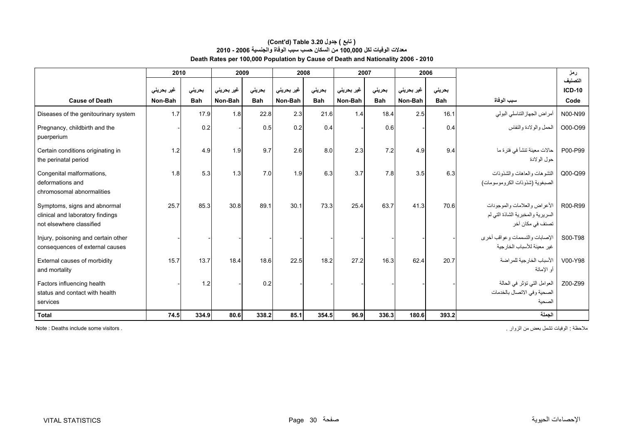#### **Death Rates per 100,000 Population by Cause of Death and Nationality 2006 - 2010 (Cont'd) Table 3.20 جدول ) تابع( معدالت الوفيات لكل 100,000 من السكان حسب سبب الوفاة والجنسية 2006 - 2010**

|                                                                                              | 2010       |            |            | 2009       |            | 2008       | 2007       |            |            | 2006       |                                                                                        | رمز                      |
|----------------------------------------------------------------------------------------------|------------|------------|------------|------------|------------|------------|------------|------------|------------|------------|----------------------------------------------------------------------------------------|--------------------------|
|                                                                                              | غیر بحرینی | بحريني     | غیر بحرینی | بحريني     | غير بحريني | بحريني     | غير بحريني | بحريني     | غير بحريني | بحريني     |                                                                                        | التصنيف<br><b>ICD-10</b> |
| <b>Cause of Death</b>                                                                        | Non-Bah    | <b>Bah</b> | Non-Bah    | <b>Bah</b> | Non-Bah    | <b>Bah</b> | Non-Bah    | <b>Bah</b> | Non-Bah    | <b>Bah</b> | سبب الوفاة                                                                             | Code                     |
| Diseases of the genitourinary system                                                         | 1.7        | 17.9       | 1.8        | 22.8       | 2.3        | 21.6       | 1.4        | 18.4       | 2.5        | 16.1       | أمراض الجهاز التناسلي البولي                                                           | N00-N99                  |
| Pregnancy, childbirth and the<br>puerperium                                                  |            | 0.2        |            | 0.5        | 0.2        | 0.4        |            | 0.6        |            | 0.4        | الحمل والولادة والنفاس                                                                 | O00-O99                  |
| Certain conditions originating in<br>the perinatal period                                    | 1.2        | 4.9        | 1.9        | 9.7        | 2.6        | 8.0        | 2.3        | 7.2        | 4.9        | 9.4        | حالات معينة تنشأ في فترة ما<br>حول الو لادة                                            | P00-P99                  |
| Congenital malformations,<br>deformations and<br>chromosomal abnormalities                   | 1.8        | 5.3        | 1.3        | 7.0        | 1.9        | 6.3        | 3.7        | 7.8        | 3.5        | 6.3        | التشو هات والمعاهات والشذوذات<br>الصبغوية (شذوذات الكروموسومات)                        | Q00-Q99                  |
| Symptoms, signs and abnormal<br>clinical and laboratory findings<br>not elsewhere classified | 25.7       | 85.3       | 30.8       | 89.1       | 30.1       | 73.3       | 25.4       | 63.7       | 41.3       | 70.6       | الأعر اض والعلامات والموجودات<br>السريرية والمخبرية الشاذة التي لم<br>تصنف في مكان أخر | R00-R99                  |
| Injury, poisoning and certain other<br>consequences of external causes                       |            |            |            |            |            |            |            |            |            |            | الإصابات والتسممات وعواقب أخرى<br>غبر معبنة للأسباب الخار جبة                          | S00-T98                  |
| External causes of morbidity<br>and mortality                                                | 15.7       | 13.7       | 18.4       | 18.6       | 22.5       | 18.2       | 27.2       | 16.3       | 62.4       | 20.7       | الأسباب الخار جية للمر اضبة<br>أو الإماتة                                              | V00-Y98                  |
| Factors influencing health<br>status and contact with health<br>services                     |            | 1.2        |            | 0.2        |            |            |            |            |            |            | العوامل التي تؤثر في الحالة<br>الصحية وفي الاتصال بالخدمات<br>الصحبة                   | Z00-Z99                  |
| <b>Total</b>                                                                                 | 74.5       | 334.9      | 80.6       | 338.2      | 85.1       | 354.5      | 96.9       | 336.3      | 180.6      | 393.2      | الجملة                                                                                 |                          |

مالحظة : الوفيات تشمل بعض من الزوار . . visitors some include Deaths : Note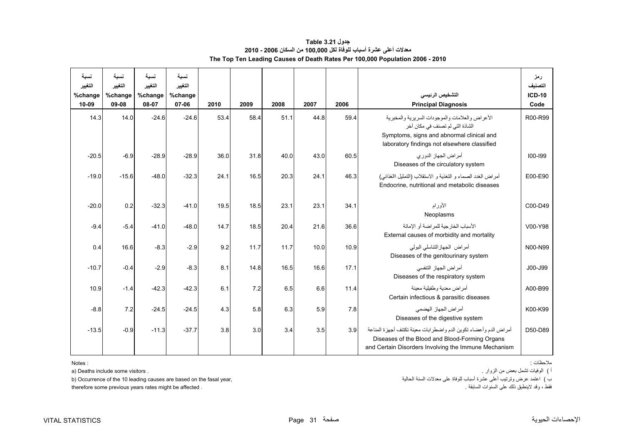#### **جدول 3.21 Table معدالت أعلى عشرة أسباب للوفاة لكل 100,000 من السكان 2006 - 2010 The Top Ten Leading Causes of Death Rates Per 100,000 Population 2006 - 2010**

<span id="page-31-0"></span>

| نسلة<br>التغيير  | نسىة<br>التغيير  | نسبة<br>التغيير  | نسبة<br>التغيير  |      |      |      |      |      |                                                                                                                                                                                 | رمز<br>التصنيف        |
|------------------|------------------|------------------|------------------|------|------|------|------|------|---------------------------------------------------------------------------------------------------------------------------------------------------------------------------------|-----------------------|
| %change<br>10-09 | %change<br>09-08 | %change<br>08-07 | %change<br>07-06 | 2010 | 2009 | 2008 | 2007 | 2006 | التشخيص الرئيسي<br><b>Principal Diagnosis</b>                                                                                                                                   | <b>ICD-10</b><br>Code |
| 14.3             | 14.0             | $-24.6$          | $-24.6$          | 53.4 | 58.4 | 51.1 | 44.8 | 59.4 | الأعراض والعلامات والموجودات السريرية والمخبرية<br>الشاذة التي لم تصنف في مكان آخر<br>Symptoms, signs and abnormal clinical and<br>laboratory findings not elsewhere classified | R00-R99               |
| $-20.5$          | $-6.9$           | $-28.9$          | $-28.9$          | 36.0 | 31.8 | 40.0 | 43.0 | 60.5 | أمر اض الجهاز الدور ي<br>Diseases of the circulatory system                                                                                                                     | $100 - 199$           |
| $-19.0$          | $-15.6$          | $-48.0$          | $-32.3$          | 24.1 | 16.5 | 20.3 | 24.1 | 46.3 | أمراض الغدد الصماء و التغذية و الاستقلاب (التمثيل االغذائي)<br>Endocrine, nutritional and metabolic diseases                                                                    | E00-E90               |
| $-20.0$          | 0.2              | $-32.3$          | $-41.0$          | 19.5 | 18.5 | 23.1 | 23.1 | 34.1 | الأورام<br>Neoplasms                                                                                                                                                            | C00-D49               |
| $-9.4$           | $-5.4$           | $-41.0$          | $-48.0$          | 14.7 | 18.5 | 20.4 | 21.6 | 36.6 | الأسباب الخار جبة للمر اضبة أو الاماتة<br>External causes of morbidity and mortality                                                                                            | V00-Y98               |
| 0.4              | 16.6             | $-8.3$           | $-2.9$           | 9.2  | 11.7 | 11.7 | 10.0 | 10.9 | أمراض الجهازالنتاسلي البولبي<br>Diseases of the genitourinary system                                                                                                            | N00-N99               |
| $-10.7$          | $-0.4$           | $-2.9$           | $-8.3$           | 8.1  | 14.8 | 16.5 | 16.6 | 17.1 | أمر اض الجهاز التنفسي<br>Diseases of the respiratory system                                                                                                                     | J00-J99               |
| 10.9             | $-1.4$           | $-42.3$          | $-42.3$          | 6.1  | 7.2  | 6.5  | 6.6  | 11.4 | أمر اض معدية وطفيلية معينة<br>Certain infectious & parasitic diseases                                                                                                           | A00-B99               |
| $-8.8$           | 7.2              | $-24.5$          | $-24.5$          | 4.3  | 5.8  | 6.3  | 5.9  | 7.8  | أمر اض الجهاز الهضمي<br>Diseases of the digestive system                                                                                                                        | K00-K99               |
| $-13.5$          | $-0.9$           | $-11.3$          | $-37.7$          | 3.8  | 3.0  | 3.4  | 3.5  | 3.9  | أمراض الدم وأعضاء تكوين الدم واضطرابات معينة تكتنف أجهزة المناعة<br>Diseases of the Blood and Blood-Forming Organs<br>and Certain Disorders Involving the Immune Mechanism      | D50-D89               |

: Notes

<sup>ب</sup> ) اعتمد عرض وترتيب أعلى عشرة أسباب للوفاة على معدالت السنة الحالية ,year fasal the on based are causes leading 10 the of Occurrence) b

therefore some previous years rates might be affected .

مالحظات :

<sup>أ</sup> ) الوفيات تشمل بعض من الزوار . . visitors some include Deaths) a